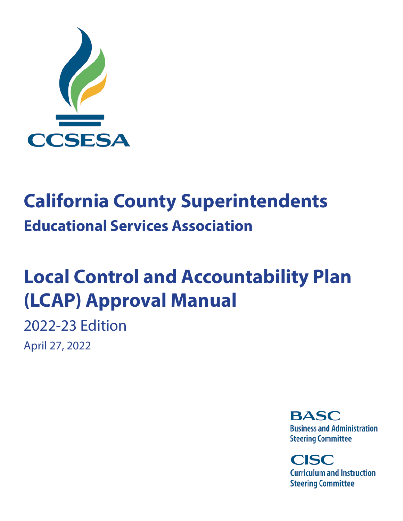

# **California County Superintendents Educational Services Association**

# **Local Control and Accountability Plan (LCAP) Approval Manual**

2022-23 Edition April 27, 2022

> **BASC Business and Administration Steering Committee**

**CISC Curriculum and Instruction Steering Committee**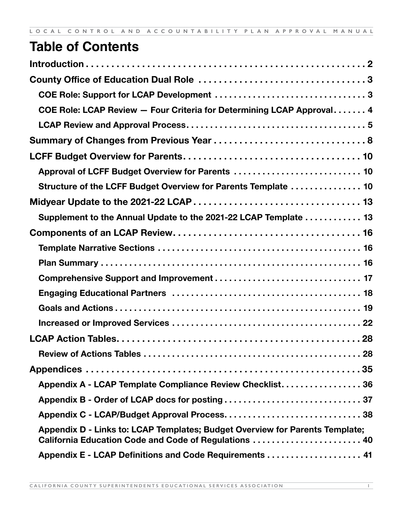# **Table of Contents**

| COE Role: LCAP Review - Four Criteria for Determining LCAP Approval 4                                                                 |  |
|---------------------------------------------------------------------------------------------------------------------------------------|--|
|                                                                                                                                       |  |
|                                                                                                                                       |  |
|                                                                                                                                       |  |
| Approval of LCFF Budget Overview for Parents  10                                                                                      |  |
| Structure of the LCFF Budget Overview for Parents Template  10                                                                        |  |
|                                                                                                                                       |  |
| Supplement to the Annual Update to the 2021-22 LCAP Template 13                                                                       |  |
|                                                                                                                                       |  |
|                                                                                                                                       |  |
|                                                                                                                                       |  |
|                                                                                                                                       |  |
|                                                                                                                                       |  |
|                                                                                                                                       |  |
|                                                                                                                                       |  |
|                                                                                                                                       |  |
|                                                                                                                                       |  |
|                                                                                                                                       |  |
| Appendix A - LCAP Template Compliance Review Checklist 36                                                                             |  |
|                                                                                                                                       |  |
|                                                                                                                                       |  |
| Appendix D - Links to: LCAP Templates; Budget Overview for Parents Template;<br>California Education Code and Code of Regulations  40 |  |
| Appendix E - LCAP Definitions and Code Requirements  41                                                                               |  |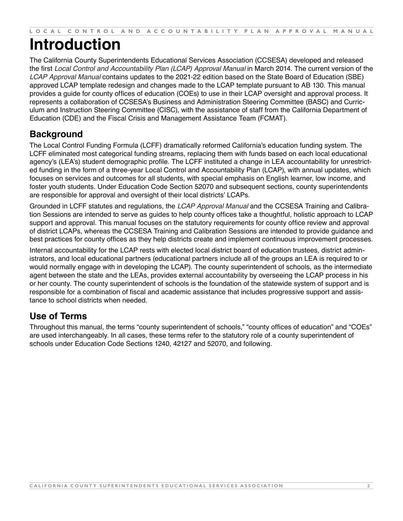# <span id="page-2-0"></span>**Introduction**

The California County Superintendents Educational Services Association (CCSESA) developed and released the first *Local Control and Accountability Plan (LCAP) Approval Manual* in March 2014. The current version of the *LCAP Approval Manual* contains updates to the 2021-22 edition based on the State Board of Education (SBE) approved LCAP template redesign and changes made to the LCAP template pursuant to AB 130. This manual provides a guide for county offices of education (COEs) to use in their LCAP oversight and approval process. It represents a collaboration of CCSESA's Business and Administration Steering Committee (BASC) and Curriculum and Instruction Steering Committee (CISC), with the assistance of staff from the California Department of Education (CDE) and the Fiscal Crisis and Management Assistance Team (FCMAT).

# **Background**

The Local Control Funding Formula (LCFF) dramatically reformed California's education funding system. The LCFF eliminated most categorical funding streams, replacing them with funds based on each local educational agency's (LEA's) student demographic profile. The LCFF instituted a change in LEA accountability for unrestricted funding in the form of a three-year Local Control and Accountability Plan (LCAP), with annual updates, which focuses on services and outcomes for all students, with special emphasis on English learner, low income, and foster youth students. Under Education Code Section 52070 and subsequent sections, county superintendents are responsible for approval and oversight of their local districts' LCAPs.

Grounded in LCFF statutes and regulations, the *LCAP Approval Manual* and the CCSESA Training and Calibration Sessions are intended to serve as guides to help county offices take a thoughtful, holistic approach to LCAP support and approval. This manual focuses on the statutory requirements for county office review and approval of district LCAPs, whereas the CCSESA Training and Calibration Sessions are intended to provide guidance and best practices for county offices as they help districts create and implement continuous improvement processes.

Internal accountability for the LCAP rests with elected local district board of education trustees, district administrators, and local educational partners (educational partners include all of the groups an LEA is required to or would normally engage with in developing the LCAP). The county superintendent of schools, as the intermediate agent between the state and the LEAs, provides external accountability by overseeing the LCAP process in his or her county. The county superintendent of schools is the foundation of the statewide system of support and is responsible for a combination of fiscal and academic assistance that includes progressive support and assistance to school districts when needed.

# **Use of Terms**

Throughout this manual, the terms "county superintendent of schools," "county offices of education" and "COEs" are used interchangeably. In all cases, these terms refer to the statutory role of a county superintendent of schools under Education Code Sections 1240, 42127 and 52070, and following.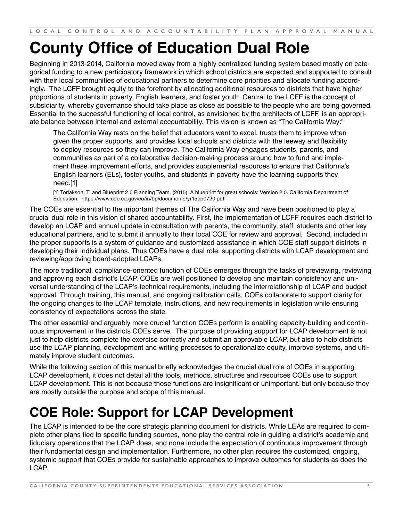# <span id="page-3-0"></span>**County Office of Education Dual Role**

Beginning in 2013-2014, California moved away from a highly centralized funding system based mostly on categorical funding to a new participatory framework in which school districts are expected and supported to consult with their local communities of educational partners to determine core priorities and allocate funding accordingly. The LCFF brought equity to the forefront by allocating additional resources to districts that have higher proportions of students in poverty, English learners, and foster youth. Central to the LCFF is the concept of subsidiarity, whereby governance should take place as close as possible to the people who are being governed. Essential to the successful functioning of local control, as envisioned by the architects of LCFF, is an appropriate balance between internal and external accountability. This vision is known as "The California Way:"

The California Way rests on the belief that educators want to excel, trusts them to improve when given the proper supports, and provides local schools and districts with the leeway and flexibility to deploy resources so they can improve. The California Way engages students, parents, and communities as part of a collaborative decision-making process around how to fund and implement these improvement efforts, and provides supplemental resources to ensure that California's English learners (ELs), foster youths, and students in poverty have the learning supports they need.[1]

[1] Torlaks[on](https://www.cde.ca.gov/eo/in/bp/documents/yr15bp0720.pdf), T. and Blueprint 2.0 Planning Team. (2015). A blueprint for great schools: Version 2.0. California Department of Education. <https://www.cde.ca.gov/eo/in/bp/documents/yr15bp0720.pdf>

The COEs are essential to the important themes of The California Way and have been positioned to play a crucial dual role in this vision of shared accountability. First, the implementation of LCFF requires each district to develop an LCAP and annual update in consultation with parents, the community, staff, students and other key educational partners, and to submit it annually to their local COE for review and approval. Second, included in the proper supports is a system of guidance and customized assistance in which COE staff support districts in developing their individual plans. Thus COEs have a dual role: supporting districts with LCAP development and reviewing/approving board-adopted LCAPs.

The more traditional, compliance-oriented function of COEs emerges through the tasks of previewing, reviewing and approving each district's LCAP. COEs are well positioned to develop and maintain consistency and universal understanding of the LCAP's technical requirements, including the interrelationship of LCAP and budget approval. Through training, this manual, and ongoing calibration calls, COEs collaborate to support clarity for the ongoing changes to the LCAP template, instructions, and new requirements in legislation while ensuring consistency of expectations across the state.

The other essential and arguably more crucial function COEs perform is enabling capacity-building and continuous improvement in the districts COEs serve. The purpose of providing support for LCAP development is not just to help districts complete the exercise correctly and submit an approvable LCAP, but also to help districts use the LCAP planning, development and writing processes to operationalize equity, improve systems, and ultimately improve student outcomes.

While the following section of this manual briefly acknowledges the crucial dual role of COEs in supporting LCAP development, it does not detail all the tools, methods, structures and resources COEs use to support LCAP development. This is not because those functions are insignificant or unimportant, but only because they are mostly outside the purpose and scope of this manual.

# **COE Role: Support for LCAP Development**

The LCAP is intended to be the core strategic planning document for districts. While LEAs are required to complete other plans tied to specific funding sources, none play the central role in guiding a district's academic and fiduciary operations that the LCAP does, and none include the expectation of continuous improvement through their fundamental design and implementation. Furthermore, no other plan requires the customized, ongoing, systemic support that COEs provide for sustainable approaches to improve outcomes for students as does the LCAP.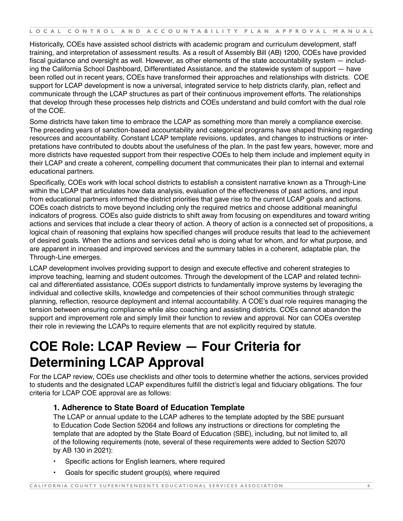<span id="page-4-0"></span>Historically, COEs have assisted school districts with academic program and curriculum development, staff training, and interpretation of assessment results. As a result of Assembly Bill (AB) 1200, COEs have provided fiscal guidance and oversight as well. However, as other elements of the state accountability system — including the California School Dashboard, Differentiated Assistance, and the statewide system of support — have been rolled out in recent years, COEs have transformed their approaches and relationships with districts. COE support for LCAP development is now a universal, integrated service to help districts clarify, plan, reflect and communicate through the LCAP structures as part of their continuous improvement efforts. The relationships that develop through these processes help districts and COEs understand and build comfort with the dual role of the COE.

Some districts have taken time to embrace the LCAP as something more than merely a compliance exercise. The preceding years of sanction-based accountability and categorical programs have shaped thinking regarding resources and accountability. Constant LCAP template revisions, updates, and changes to instructions or interpretations have contributed to doubts about the usefulness of the plan. In the past few years, however, more and more districts have requested support from their respective COEs to help them include and implement equity in their LCAP and create a coherent, compelling document that communicates their plan to internal and external educational partners.

Specifically, COEs work with local school districts to establish a consistent narrative known as a Through-Line within the LCAP that articulates how data analysis, evaluation of the effectiveness of past actions, and input from educational partners informed the district priorities that gave rise to the current LCAP goals and actions. COEs coach districts to move beyond including only the required metrics and choose additional meaningful indicators of progress. COEs also guide districts to shift away from focusing on expenditures and toward writing actions and services that include a clear theory of action. A theory of action is a connected set of propositions, a logical chain of reasoning that explains how specified changes will produce results that lead to the achievement of desired goals. When the actions and services detail who is doing what for whom, and for what purpose, and are apparent in increased and improved services and the summary tables in a coherent, adaptable plan, the Through-Line emerges.

LCAP development involves providing support to design and execute effective and coherent strategies to improve teaching, learning and student outcomes. Through the development of the LCAP and related technical and differentiated assistance, COEs support districts to fundamentally improve systems by leveraging the individual and collective skills, knowledge and competencies of their school communities through strategic planning, reflection, resource deployment and internal accountability. A COE's dual role requires managing the tension between ensuring compliance while also coaching and assisting districts. COEs cannot abandon the support and improvement role and simply limit their function to review and approval. Nor can COEs overstep their role in reviewing the LCAPs to require elements that are not explicitly required by statute.

# **COE Role: LCAP Review — Four Criteria for Determining LCAP Approval**

For the LCAP review, COEs use checklists and other tools to determine whether the actions, services provided to students and the designated LCAP expenditures fulfill the district's legal and fiduciary obligations. The four criteria for LCAP COE approval are as follows:

## **1. Adherence to State Board of Education Template**

The LCAP or annu[a](https://leginfo.legislature.ca.gov/faces/codes_displaySection.xhtml?sectionNum=52064.&nodeTreePath=2.3.4.11.4&lawCode=EDC)l update to the LCAP adheres to the template adopted by the SBE pursuant to Education Code [Section 52064](https://leginfo.legislature.ca.gov/faces/codes_displaySection.xhtml?sectionNum=52064.&nodeTreePath=2.3.4.11.4&lawCode=EDC) and follows any instructions or directions for completing the template that are adopted by the State Board of Education (SBE), including, but not limited to, all of the following requirements (note, several of these requirements were added to Section 52070 by AB 130 in 2021):

- Specific actions for English learners, where required
- Goals for specific student group(s), where required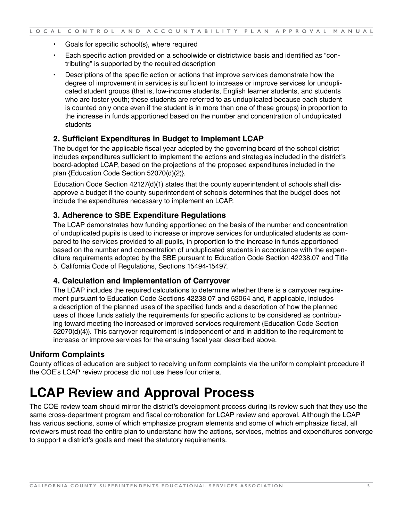- <span id="page-5-0"></span>• Goals for specific school(s), where required
- Each specific action provided on a schoolwide or districtwide basis and identified as "contributing" is supported by the required description
- Descriptions of the specific action or actions that improve services demonstrate how the degree of improvement in services is sufficient to increase or improve services for unduplicated student groups (that is, low-income students, English learner students, and students who are foster youth; these students are referred to as unduplicated because each student is counted only once even if the student is in more than one of these groups) in proportion to the increase in funds apportioned based on the number and concentration of unduplicated students

#### **2. Sufficient Expenditures in Budget to Implement LCAP**

The budget for the applicable fiscal year adopted by the governing board of the school district includes expenditures sufficient to implement the actions and strategies included in the district's board-adopted LCAP, based on the projections of the proposed expenditures included in the plan {Education Code Section 52070(d)(2)}.

Education Code Section 42127(d)(1) states that the county superintendent of schools shall disapprove a budget if the county superintendent of schools determines that the budget does not include the expenditures necessary to implement an LCAP.

#### **3. Adherence to SBE Expenditure Regulations**

The LCAP demonstrates how funding apportioned on the basis of the number and concentration of unduplicated pupils is used to increase or improve services for unduplicated students as compared to the services provided to all pupils, in proportion to the increase in funds apportioned based on the number and concentration of unduplicated students in accordance with the expenditure requirements adopted by the SBE pursuant to Education Code Section 42238.07 and Title 5, California Code of Regulations, Sections 15494-15497.

#### **4. Calculation and Implementation of Carryover**

The LCAP includes the required calculations to determine whether there is a carryover requirement pursuant to Education Code Sections 42238.07 and 52064 and, if applicable, includes a description of the planned uses of the specified funds and a description of how the planned uses of those funds satisfy the requirements for specific actions to be considered as contributing toward meeting the increased or improved services requirement {Education Code Section 52070(d)(4)}. This carryover requirement is independent of and in addition to the requirement to increase or improve services for the ensuing fiscal year described above.

#### **Uniform Complaints**

County offices of education are subject to receiving uniform complaints via the uniform complaint procedure if the COE's LCAP review process did not use these four criteria.

# **LCAP Review and Approval Process**

The COE review team should mirror the district's development process during its review such that they use the same cross-department program and fiscal corroboration for LCAP review and approval. Although the LCAP has various sections, some of which emphasize program elements and some of which emphasize fiscal, all reviewers must read the entire plan to understand how the actions, services, metrics and expenditures converge to support a district's goals and meet the statutory requirements.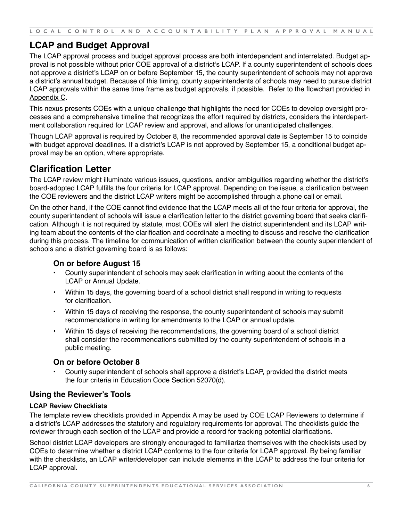**LOCAL CONTROL AND ACCOUNTABILITY PLAN APPROVAL MANUAL**

# **LCAP and Budget Approval**

The LCAP approval process and budget approval process are both interdependent and interrelated. Budget approval is not possible without prior COE approval of a district's LCAP. If a county superintendent of schools does not approve a district's LCAP on or before September 15, the county superintendent of schools may not approve a district's annual budget. Because of this timing, county superintendents of schools may need to pursue district LCAP approvals within the same time frame as budget approvals, if possible. Refer to the flowchart provided in Appendix C.

This nexus presents COEs with a unique challenge that highlights the need for COEs to develop oversight processes and a comprehensive timeline that recognizes the effort required by districts, considers the interdepartment collaboration required for LCAP review and approval, and allows for unanticipated challenges.

Though LCAP approval is required by October 8, the recommended approval date is September 15 to coincide with budget approval deadlines. If a district's LCAP is not approved by September 15, a conditional budget approval may be an option, where appropriate.

# **Clarification Letter**

The LCAP review might illuminate various issues, questions, and/or ambiguities regarding whether the district's board-adopted LCAP fulfills the four criteria for LCAP approval. Depending on the issue, a clarification between the COE reviewers and the district LCAP writers might be accomplished through a phone call or email.

On the other hand, if the COE cannot find evidence that the LCAP meets all of the four criteria for approval, the county superintendent of schools will issue a clarification letter to the district governing board that seeks clarification. Although it is not required by statute, most COEs will alert the district superintendent and its LCAP writing team about the contents of the clarification and coordinate a meeting to discuss and resolve the clarification during this process. The timeline for communication of written clarification between the county superintendent of schools and a district governing board is as follows:

## **On or before August 15**

- County superintendent of schools may seek clarification in writing about the contents of the LCAP or Annual Update.
- Within 15 days, the governing board of a school district shall respond in writing to requests for clarification.
- Within 15 days of receiving the response, the county superintendent of schools may submit recommendations in writing for amendments to the LCAP or annual update.
- Within 15 days of receiving the recommendations, the governing board of a school district shall consider the recommendations submitted by the county superintendent of schools in a public meeting.

## **On or before October 8**

• County superintendent of schools shall approve a district's LCAP, provided the district meets the four criteria in Education Code Section 52070(d).

# **Using the Reviewer's Tools**

#### **LCAP Review Checklists**

The template review checklists provided in Appendix A may be used by COE LCAP Reviewers to determine if a district's LCAP addresses the statutory and regulatory requirements for approval. The checklists guide the reviewer through each section of the LCAP and provide a record for tracking potential clarifications.

School district LCAP developers are strongly encouraged to familiarize themselves with the checklists used by COEs to determine whether a district LCAP conforms to the four criteria for LCAP approval. By being familiar with the checklists, an LCAP writer/developer can include elements in the LCAP to address the four criteria for LCAP approval.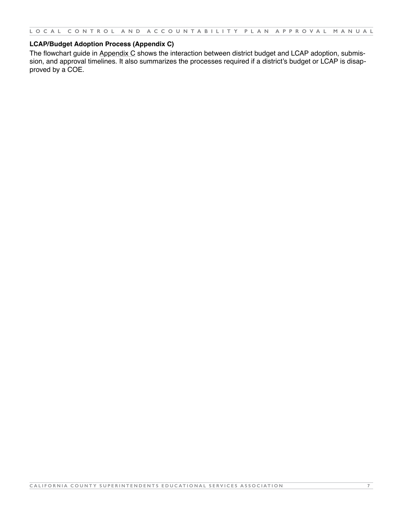**LOCAL CONTROL AND ACCOUNTABILITY PLAN APPROVAL MANUAL**

#### **LCAP/Budget Adoption Process (Appendix C)**

The flowchart guide in Appendix C shows the interaction between district budget and LCAP adoption, submission, and approval timelines. It also summarizes the processes required if a district's budget or LCAP is disapproved by a COE.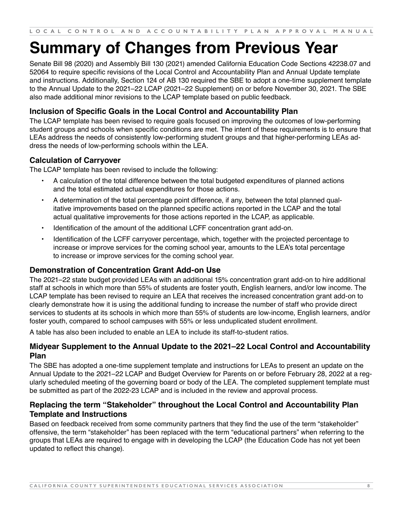# <span id="page-8-0"></span>**Summary of Changes from Previous Year**

Senate Bill 98 (2020) and Assembly Bill 130 (2021) amended California Education Code Sections 42238.07 and 52064 to require specific revisions of the Local Control and Accountability Plan and Annual Update template and instructions. Additionally, Section 124 of AB 130 required the SBE to adopt a one-time supplement template to the Annual Update to the 2021–22 LCAP (2021–22 Supplement) on or before November 30, 2021. The SBE also made additional minor revisions to the LCAP template based on public feedback.

# **Inclusion of Specific Goals in the Local Control and Accountability Plan**

The LCAP template has been revised to require goals focused on improving the outcomes of low-performing student groups and schools when specific conditions are met. The intent of these requirements is to ensure that LEAs address the needs of consistently low-performing student groups and that higher-performing LEAs address the needs of low-performing schools within the LEA.

# **Calculation of Carryover**

The LCAP template has been revised to include the following:

- A calculation of the total difference between the total budgeted expenditures of planned actions and the total estimated actual expenditures for those actions.
- A determination of the total percentage point difference, if any, between the total planned qualitative improvements based on the planned specific actions reported in the LCAP and the total actual qualitative improvements for those actions reported in the LCAP, as applicable.
- Identification of the amount of the additional LCFF concentration grant add-on.
- Identification of the LCFF carryover percentage, which, together with the projected percentage to increase or improve services for the coming school year, amounts to the LEA's total percentage to increase or improve services for the coming school year.

## **Demonstration of Concentration Grant Add-on Use**

The 2021–22 state budget provided LEAs with an additional 15% concentration grant add-on to hire additional staff at schools in which more than 55% of students are foster youth, English learners, and/or low income. The LCAP template has been revised to require an LEA that receives the increased concentration grant add-on to clearly demonstrate how it is using the additional funding to increase the number of staff who provide direct services to students at its schools in which more than 55% of students are low-income, English learners, and/or foster youth, compared to school campuses with 55% or less unduplicated student enrollment.

A table has also been included to enable an LEA to include its staff-to-student ratios.

## **Midyear Supplement to the Annual Update to the 2021–22 Local Control and Accountability Plan**

The SBE has adopted a one-time supplement template and instructions for LEAs to present an update on the Annual Update to the 2021–22 LCAP and Budget Overview for Parents on or before February 28, 2022 at a regularly scheduled meeting of the governing board or body of the LEA. The completed supplement template must be submitted as part of the 2022-23 LCAP and is included in the review and approval process.

## **Replacing the term "Stakeholder" throughout the Local Control and Accountability Plan Template and Instructions**

Based on feedback received from some community partners that they find the use of the term "stakeholder" offensive, the term "stakeholder" has been replaced with the term "educational partners" when referring to the groups that LEAs are required to engage with in developing the LCAP (the Education Code has not yet been updated to reflect this change).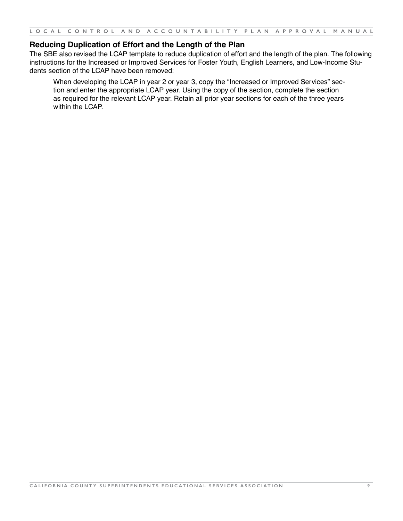## **Reducing Duplication of Effort and the Length of the Plan**

The SBE also revised the LCAP template to reduce duplication of effort and the length of the plan. The following instructions for the Increased or Improved Services for Foster Youth, English Learners, and Low-Income Students section of the LCAP have been removed:

When developing the LCAP in year 2 or year 3, copy the "Increased or Improved Services" section and enter the appropriate LCAP year. Using the copy of the section, complete the section as required for the relevant LCAP year. Retain all prior year sections for each of the three years within the LCAP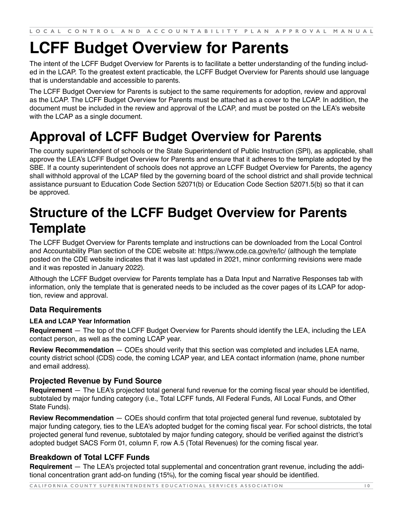# <span id="page-10-0"></span>**LCFF Budget Overview for Parents**

The intent of the LCFF Budget Overview for Parents is to facilitate a better understanding of the funding included in the LCAP. To the greatest extent practicable, the LCFF Budget Overview for Parents should use language that is understandable and accessible to parents.

The LCFF Budget Overview for Parents is subject to the same requirements for adoption, review and approval as the LCAP. The LCFF Budget Overview for Parents must be attached as a cover to the LCAP. In addition, the document must be included in the review and approval of the LCAP, and must be posted on the LEA's website with the LCAP as a single document.

# **Approval of LCFF Budget Overview for Parents**

The county superintendent of schools or the State Superintendent of Public Instruction (SPI), as applicable, shall approve the LEA's LCFF Budget Overview for Parents and ensure that it adheres to the template adopted by the SBE. If a county superintendent of schools does not approve an LCFF Budget Overview for Parents, the agency shall withhold approval of the LCAP filed by the governing board of the school district and shall provide technical assistance pursuant to Education Code Section 52071(b) or Education Code Section 52071.5(b) so that it can be approved.

# **Structure of the LCFF Budget Overview for Parents Template**

The LCFF Budget Overview for Parents template and instructions can be downloaded from the Local Control and Accountability Plan section of the CDE website at: http[s://w](http://www.cde.ca.gov/re/lc/)ww[.cde.c](http://www.cde.ca.gov/re/lc/)a.[gov/re/lc/](http://www.cde.ca.gov/re/lc/) (although the template posted on the CDE website indicates that it was last updated in 2021, minor conforming revisions were made and it was reposted in January 2022).

Although the LCFF Budget overview for Parents template has a Data Input and Narrative Responses tab with information, only the template that is generated needs to be included as the cover pages of its LCAP for adoption, review and approval.

# **Data Requirements**

## **LEA and LCAP Year Information**

**Requirement** — The top of the LCFF Budget Overview for Parents should identify the LEA, including the LEA contact person, as well as the coming LCAP year.

**Review Recommendation** — COEs should verify that this section was completed and includes LEA name, county district school (CDS) code, the coming LCAP year, and LEA contact information (name, phone number and email address).

# **Projected Revenue by Fund Source**

**Requirement** — The LEA's projected total general fund revenue for the coming fiscal year should be identified, subtotaled by major funding category (i.e., Total LCFF funds, All Federal Funds, All Local Funds, and Other State Funds).

**Review Recommendation** — COEs should confirm that total projected general fund revenue, subtotaled by major funding category, ties to the LEA's adopted budget for the coming fiscal year. For school districts, the total projected general fund revenue, subtotaled by major funding category, should be verified against the district's adopted budget SACS Form 01, column F, row A.5 (Total Revenues) for the coming fiscal year.

# **Breakdown of Total LCFF Funds**

**Requirement** — The LEA's projected total supplemental and concentration grant revenue, including the additional concentration grant add-on funding (15%), for the coming fiscal year should be identified.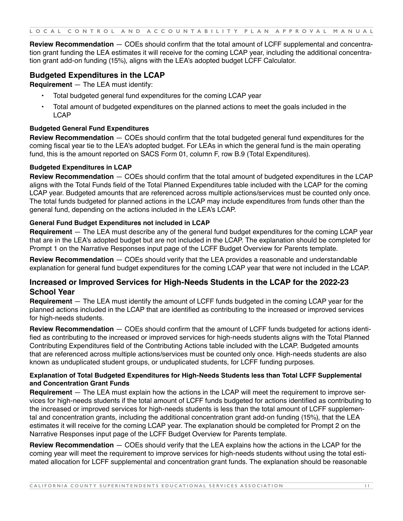**Review Recommendation** — COEs should confirm that the total amount of LCFF supplemental and concentration grant funding the LEA estimates it will receive for the coming LCAP year, including the additional concentration grant add-on funding (15%), aligns with the LEA's adopted budget LCFF Calculator.

# **Budgeted Expenditures in the LCAP**

**Requirement** — The LEA must identify:

- Total budgeted general fund expenditures for the coming LCAP year
- Total amount of budgeted expenditures on the planned actions to meet the goals included in the LCAP

#### **Budgeted General Fund Expenditures**

**Review Recommendation** — COEs should confirm that the total budgeted general fund expenditures for the coming fiscal year tie to the LEA's adopted budget. For LEAs in which the general fund is the main operating fund, this is the amount reported on SACS Form 01, column F, row B.9 (Total Expenditures).

#### **Budgeted Expenditures in LCAP**

**Review Recommendation** — COEs should confirm that the total amount of budgeted expenditures in the LCAP aligns with the Total Funds field of the Total Planned Expenditures table included with the LCAP for the coming LCAP year. Budgeted amounts that are referenced across multiple actions/services must be counted only once. The total funds budgeted for planned actions in the LCAP may include expenditures from funds other than the general fund, depending on the actions included in the LEA's LCAP.

#### **General Fund Budget Expenditures not included in LCAP**

**Requirement** — The LEA must describe any of the general fund budget expenditures for the coming LCAP year that are in the LEA's adopted budget but are not included in the LCAP. The explanation should be completed for Prompt 1 on the Narrative Responses input page of the LCFF Budget Overview for Parents template.

**Review Recommendation** — COEs should verify that the LEA provides a reasonable and understandable explanation for general fund budget expenditures for the coming LCAP year that were not included in the LCAP.

## **Increased or Improved Services for High-Needs Students in the LCAP for the 2022-23 School Year**

**Requirement** — The LEA must identify the amount of LCFF funds budgeted in the coming LCAP year for the planned actions included in the LCAP that are identified as contributing to the increased or improved services for high-needs students.

**Review Recommendation** — COEs should confirm that the amount of LCFF funds budgeted for actions identified as contributing to the increased or improved services for high-needs students aligns with the Total Planned Contributing Expenditures field of the Contributing Actions table included with the LCAP. Budgeted amounts that are referenced across multiple actions/services must be counted only once. High-needs students are also known as unduplicated student groups, or unduplicated students, for LCFF funding purposes.

#### **Explanation of Total Budgeted Expenditures for High-Needs Students less than Total LCFF Supplemental and Concentration Grant Funds**

**Requirement** — The LEA must explain how the actions in the LCAP will meet the requirement to improve services for high-needs students if the total amount of LCFF funds budgeted for actions identified as contributing to the increased or improved services for high-needs students is less than the total amount of LCFF supplemental and concentration grants, including the additional concentration grant add-on funding (15%), that the LEA estimates it will receive for the coming LCAP year. The explanation should be completed for Prompt 2 on the Narrative Responses input page of the LCFF Budget Overview for Parents template.

**Review Recommendation** — COEs should verify that the LEA explains how the actions in the LCAP for the coming year will meet the requirement to improve services for high-needs students without using the total estimated allocation for LCFF supplemental and concentration grant funds. The explanation should be reasonable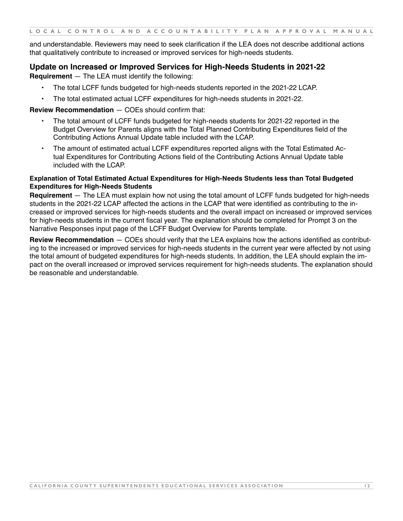and understandable. Reviewers may need to seek clarification if the LEA does not describe additional actions that qualitatively contribute to increased or improved services for high-needs students.

#### **Update on Increased or Improved Services for High-Needs Students in 2021-22**

**Requirement** — The LEA must identify the following:

- The total LCFF funds budgeted for high-needs students reported in the 2021-22 LCAP.
- The total estimated actual LCFF expenditures for high-needs students in 2021-22.

#### **Review Recommendation** — COEs should confirm that:

- The total amount of LCFF funds budgeted for high-needs students for 2021-22 reported in the Budget Overview for Parents aligns with the Total Planned Contributing Expenditures field of the Contributing Actions Annual Update table included with the LCAP.
- The amount of estimated actual LCFF expenditures reported aligns with the Total Estimated Actual Expenditures for Contributing Actions field of the Contributing Actions Annual Update table included with the LCAP.

#### **Explanation of Total Estimated Actual Expenditures for High-Needs Students less than Total Budgeted Expenditures for High-Needs Students**

**Requirement** — The LEA must explain how not using the total amount of LCFF funds budgeted for high-needs students in the 2021-22 LCAP affected the actions in the LCAP that were identified as contributing to the increased or improved services for high-needs students and the overall impact on increased or improved services for high-needs students in the current fiscal year. The explanation should be completed for Prompt 3 on the Narrative Responses input page of the LCFF Budget Overview for Parents template.

**Review Recommendation** — COEs should verify that the LEA explains how the actions identified as contributing to the increased or improved services for high-needs students in the current year were affected by not using the total amount of budgeted expenditures for high-needs students. In addition, the LEA should explain the impact on the overall increased or improved services requirement for high-needs students. The explanation should be reasonable and understandable.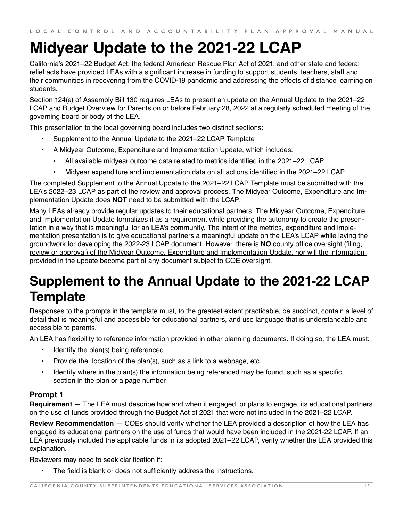# <span id="page-13-0"></span>**Midyear Update to the 2021-22 LCAP**

California's 2021–22 Budget Act, the federal American Rescue Plan Act of 2021, and other state and federal relief acts have provided LEAs with a significant increase in funding to support students, teachers, staff and their communities in recovering from the COVID-19 pandemic and addressing the effects of distance learning on students.

Section 124(e) of Assembly Bill 130 requires LEAs to present an update on the Annual Update to the 2021–22 LCAP and Budget Overview for Parents on or before February 28, 2022 at a regularly scheduled meeting of the governing board or body of the LEA.

This presentation to the local governing board includes two distinct sections:

- [Supplement to the Annual Update to the 2021–22 LCAP Template](https://www.cde.ca.gov/re/lc/documents/lcapsupplement.docx)
- A Midyear Outcome, Expenditure and Implementation Update, which includes:
	- All available midyear outcome data related to metrics identified in the 2021–22 LCAP
	- Midyear expenditure and implementation data on all actions identified in the 2021–22 LCAP

The completed Supplement to the Annual Update to the 2021–22 LCAP Template must be submitted with the LEA's 2022–23 LCAP as part of the review and approval process. The Midyear Outcome, Expenditure and Implementation Update does **NOT** need to be submitted with the LCAP.

Many LEAs already provide regular updates to their educational partners. The Midyear Outcome, Expenditure and Implementation Update formalizes it as a requirement while providing the autonomy to create the presentation in a way that is meaningful for an LEA's community. The intent of the metrics, expenditure and implementation presentation is to give educational partners a meaningful update on the LEA's LCAP while laying the groundwork for developing the 2022-23 LCAP document. However, there is **NO** county office oversight (filing, review or approval) of the Midyear Outcome, Expenditure and Implementation Update, nor will the information provided in the update become part of any document subject to COE oversight.

# **Supplement to the Annual Update to the 2021-22 LCAP Template**

Responses to the prompts in the template must, to the greatest extent practicable, be succinct, contain a level of detail that is meaningful and accessible for educational partners, and use language that is understandable and accessible to parents.

An LEA has flexibility to reference information provided in other planning documents. If doing so, the LEA must:

- Identify the plan(s) being referenced
- Provide the location of the plan(s), such as a link to a webpage, etc.
- Identify where in the plan(s) the information being referenced may be found, such as a specific section in the plan or a page number

## **Prompt 1**

**Requirement** — The LEA must describe how and when it engaged, or plans to engage, its educational partners on the use of funds provided through the Budget Act of 2021 that were not included in the 2021–22 LCAP.

**Review Recommendation** — COEs should verify whether the LEA provided a description of how the LEA has engaged its educational partners on the use of funds that would have been included in the 2021-22 LCAP. If an LEA previously included the applicable funds in its adopted 2021–22 LCAP, verify whether the LEA provided this explanation.

Reviewers may need to seek clarification if:

The field is blank or does not sufficiently address the instructions.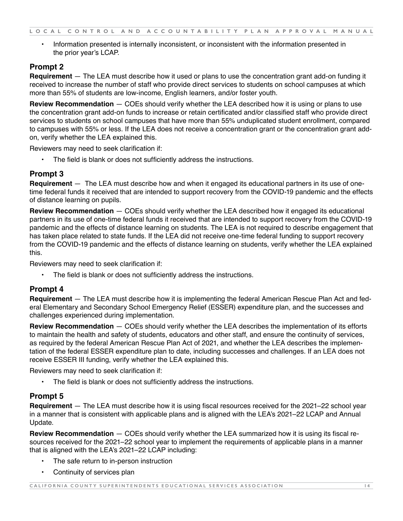• Information presented is internally inconsistent, or inconsistent with the information presented in the prior year's LCAP.

# **Prompt 2**

**Requirement** — The LEA must describe how it used or plans to use the concentration grant add-on funding it received to increase the number of staff who provide direct services to students on school campuses at which more than 55% of students are low-income, English learners, and/or foster youth.

**Review Recommendation** — COEs should verify whether the LEA described how it is using or plans to use the concentration grant add-on funds to increase or retain certificated and/or classified staff who provide direct services to students on school campuses that have more than 55% unduplicated student enrollment, compared to campuses with 55% or less. If the LEA does not receive a concentration grant or the concentration grant addon, verify whether the LEA explained this.

Reviewers may need to seek clarification if:

The field is blank or does not sufficiently address the instructions.

# **Prompt 3**

**Requirement** — The LEA must describe how and when it engaged its educational partners in its use of onetime federal funds it received that are intended to support recovery from the COVID-19 pandemic and the effects of distance learning on pupils.

**Review Recommendation** — COEs should verify whether the LEA described how it engaged its educational partners in its use of one-time federal funds it received that are intended to support recovery from the COVID-19 pandemic and the effects of distance learning on students. The LEA is not required to describe engagement that has taken place related to state funds. If the LEA did not receive one-time federal funding to support recovery from the COVID-19 pandemic and the effects of distance learning on students, verify whether the LEA explained this.

Reviewers may need to seek clarification if:

The field is blank or does not sufficiently address the instructions.

## **Prompt 4**

**Requirement** — The LEA must describe how it is implementing the federal American Rescue Plan Act and federal Elementary and Secondary School Emergency Relief (ESSER) expenditure plan, and the successes and challenges experienced during implementation.

**Review Recommendation** — COEs should verify whether the LEA describes the implementation of its efforts to maintain the health and safety of students, educators and other staff, and ensure the continuity of services, as required by the federal American Rescue Plan Act of 2021, and whether the LEA describes the implementation of the federal ESSER expenditure plan to date, including successes and challenges. If an LEA does not receive ESSER III funding, verify whether the LEA explained this.

Reviewers may need to seek clarification if:

The field is blank or does not sufficiently address the instructions.

## **Prompt 5**

**Requirement** — The LEA must describe how it is using fiscal resources received for the 2021–22 school year in a manner that is consistent with applicable plans and is aligned with the LEA's 2021–22 LCAP and Annual Update.

**Review Recommendation** — COEs should verify whether the LEA summarized how it is using its fiscal resources received for the 2021–22 school year to implement the requirements of applicable plans in a manner that is aligned with the LEA's 2021–22 LCAP including:

- The safe return to in-person instruction
- Continuity of services plan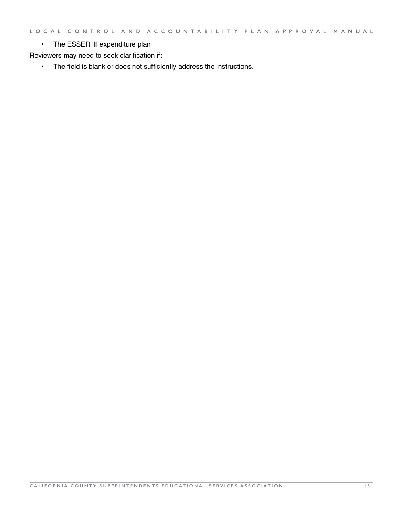• The ESSER III expenditure plan

Reviewers may need to seek clarification if:

• The field is blank or does not sufficiently address the instructions.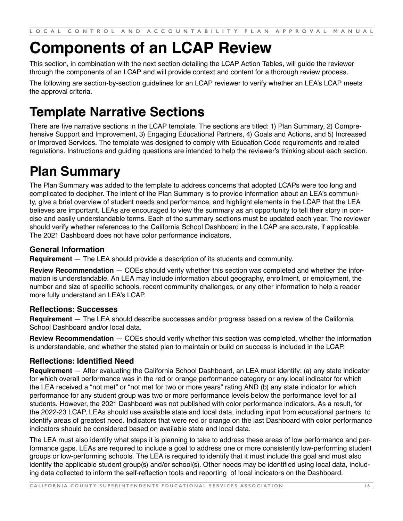# <span id="page-16-0"></span>**Components of an LCAP Review**

This section, in combination with the next section detailing the LCAP Action Tables, will guide the reviewer through the components of an LCAP and will provide context and content for a thorough review process.

The following are section-by-section guidelines for an LCAP reviewer to verify whether an LEA's LCAP meets the approval criteria.

# **Template Narrative Sections**

There are five narrative sections in the LCAP template. The sections are titled: 1) Plan Summary, 2) Comprehensive Support and Improvement, 3) Engaging Educational Partners, 4) Goals and Actions, and 5) Increased or Improved Services. The template was designed to comply with Education Code requirements and related regulations. Instructions and guiding questions are intended to help the reviewer's thinking about each section.

# **Plan Summary**

The Plan Summary was added to the template to address concerns that adopted LCAPs were too long and complicated to decipher. The intent of the Plan Summary is to provide information about an LEA's community, give a brief overview of student needs and performance, and highlight elements in the LCAP that the LEA believes are important. LEAs are encouraged to view the summary as an opportunity to tell their story in concise and easily understandable terms. Each of the summary sections must be updated each year. The reviewer should verify whether references to the California School Dashboard in the LCAP are accurate, if applicable. The 2021 Dashboard does not have color performance indicators.

# **General Information**

**Requirement** — The LEA should provide a description of its students and community.

**Review Recommendation** — COEs should verify whether this section was completed and whether the information is understandable. An LEA may include information about geography, enrollment, or employment, the number and size of specific schools, recent community challenges, or any other information to help a reader more fully understand an LEA's LCAP.

## **Reflections: Successes**

**Requirement** — The LEA should describe successes and/or progress based on a review of the California School Dashboard and/or local data.

**Review Recommendation** — COEs should verify whether this section was completed, whether the information is understandable, and whether the stated plan to maintain or build on success is included in the LCAP.

# **Reflections: Identified Need**

**Requirement** — After evaluating the California School Dashboard, an LEA must identify: (a) any state indicator for which overall performance was in the red or orange performance category or any local indicator for which the LEA received a "not met" or "not met for two or more years" rating AND (b) any state indicator for which performance for any student group was two or more performance levels below the performance level for all students. However, the 2021 Dashboard was not published with color performance indicators. As a result, for the 2022-23 LCAP, LEAs should use available state and local data, including input from educational partners, to identify areas of greatest need. Indicators that were red or orange on the last Dashboard with color performance indicators should be considered based on available state and local data.

The LEA must also identify what steps it is planning to take to address these areas of low performance and performance gaps. LEAs are required to include a goal to address one or more consistently low-performing student groups or low-performing schools. The LEA is required to identify that it must include this goal and must also identify the applicable student group(s) and/or school(s). Other needs may be identified using local data, including data collected to inform the self-reflection tools and reporting of local indicators on the Dashboard.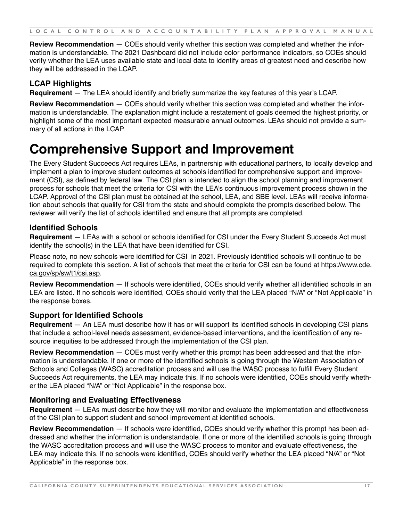<span id="page-17-0"></span>**Review Recommendation** — COEs should verify whether this section was completed and whether the information is understandable. The 2021 Dashboard did not include color performance indicators, so COEs should verify whether the LEA uses available state and local data to identify areas of greatest need and describe how they will be addressed in the LCAP.

# **LCAP Highlights**

**Requirement** — The LEA should identify and briefly summarize the key features of this year's LCAP.

**Review Recommendation** — COEs should verify whether this section was completed and whether the information is understandable. The explanation might include a restatement of goals deemed the highest priority, or highlight some of the most important expected measurable annual outcomes. LEAs should not provide a summary of all actions in the LCAP.

# **Comprehensive Support and Improvement**

The Every Student Succeeds Act requires LEAs, in partnership with educational partners, to locally develop and implement a plan to improve student outcomes at schools identified for comprehensive support and improvement (CSI), as defined by federal law. The CSI plan is intended to align the school planning and improvement process for schools that meet the criteria for CSI with the LEA's continuous improvement process shown in the LCAP. Approval of the CSI plan must be obtained at the school, LEA, and SBE level. LEAs will receive information about schools that qualify for CSI from the state and should complete the prompts described below. The reviewer will verify the list of schools identified and ensure that all prompts are completed.

## **Identified Schools**

**Requirement** — LEAs with a school or schools identified for CSI under the Every Student Succeeds Act must identify the school(s) in the LEA that have been identified for CSI.

Please note, no new schools were identified for CSI in 2021. Previously identified schools will continue to be required to complete this section. A list of schools that meet the criteria for CSI can be found at [https://www.cde.](https://www.cde.ca.gov/sp/sw/t1/csi.asp) [ca.gov/sp/sw/t1/csi.asp](https://www.cde.ca.gov/sp/sw/t1/csi.asp).

**Review Recommendation** — If schools were identified, COEs should verify whether all identified schools in an LEA are listed. If no schools were identified, COEs should verify that the LEA placed "N/A" or "Not Applicable" in the response boxes.

# **Support for Identified Schools**

**Requirement** — An LEA must describe how it has or will support its identified schools in developing CSI plans that include a school-level needs assessment, evidence-based interventions, and the identification of any resource inequities to be addressed through the implementation of the CSI plan.

**Review Recommendation** — COEs must verify whether this prompt has been addressed and that the information is understandable. If one or more of the identified schools is going through the Western Association of Schools and Colleges (WASC) accreditation process and will use the WASC process to fulfill Every Student Succeeds Act requirements, the LEA may indicate this. If no schools were identified, COEs should verify whether the LEA placed "N/A" or "Not Applicable" in the response box.

## **Monitoring and Evaluating Effectiveness**

**Requirement** — LEAs must describe how they will monitor and evaluate the implementation and effectiveness of the CSI plan to support student and school improvement at identified schools.

**Review Recommendation** — If schools were identified, COEs should verify whether this prompt has been addressed and whether the information is understandable. If one or more of the identified schools is going through the WASC accreditation process and will use the WASC process to monitor and evaluate effectiveness, the LEA may indicate this. If no schools were identified, COEs should verify whether the LEA placed "N/A" or "Not Applicable" in the response box.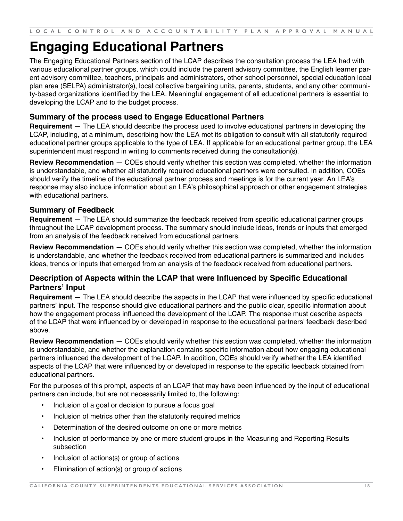# <span id="page-18-0"></span>**Engaging Educational Partners**

The Engaging Educational Partners section of the LCAP describes the consultation process the LEA had with various educational partner groups, which could include the parent advisory committee, the English learner parent advisory committee, teachers, principals and administrators, other school personnel, special education local plan area (SELPA) administrator(s), local collective bargaining units, parents, students, and any other community-based organizations identified by the LEA. Meaningful engagement of all educational partners is essential to developing the LCAP and to the budget process.

## **Summary of the process used to Engage Educational Partners**

**Requirement** — The LEA should describe the process used to involve educational partners in developing the LCAP, including, at a minimum, describing how the LEA met its obligation to consult with all statutorily required educational partner groups applicable to the type of LEA. If applicable for an educational partner group, the LEA superintendent must respond in writing to comments received during the consultation(s).

**Review Recommendation** — COEs should verify whether this section was completed, whether the information is understandable, and whether all statutorily required educational partners were consulted. In addition, COEs should verify the timeline of the educational partner process and meetings is for the current year. An LEA's response may also include information about an LEA's philosophical approach or other engagement strategies with educational partners.

## **Summary of Feedback**

**Requirement** — The LEA should summarize the feedback received from specific educational partner groups throughout the LCAP development process. The summary should include ideas, trends or inputs that emerged from an analysis of the feedback received from educational partners.

**Review Recommendation** — COEs should verify whether this section was completed, whether the information is understandable, and whether the feedback received from educational partners is summarized and includes ideas, trends or inputs that emerged from an analysis of the feedback received from educational partners.

## **Description of Aspects within the LCAP that were Influenced by Specific Educational Partners' Input**

**Requirement** — The LEA should describe the aspects in the LCAP that were influenced by specific educational partners' input. The response should give educational partners and the public clear, specific information about how the engagement process influenced the development of the LCAP. The response must describe aspects of the LCAP that were influenced by or developed in response to the educational partners' feedback described above.

**Review Recommendation** — COEs should verify whether this section was completed, whether the information is understandable, and whether the explanation contains specific information about how engaging educational partners influenced the development of the LCAP. In addition, COEs should verify whether the LEA identified aspects of the LCAP that were influenced by or developed in response to the specific feedback obtained from educational partners.

For the purposes of this prompt, aspects of an LCAP that may have been influenced by the input of educational partners can include, but are not necessarily limited to, the following:

- Inclusion of a goal or decision to pursue a focus goal
- Inclusion of metrics other than the statutorily required metrics
- Determination of the desired outcome on one or more metrics
- Inclusion of performance by one or more student groups in the Measuring and Reporting Results subsection
- Inclusion of actions(s) or group of actions
- Elimination of action(s) or group of actions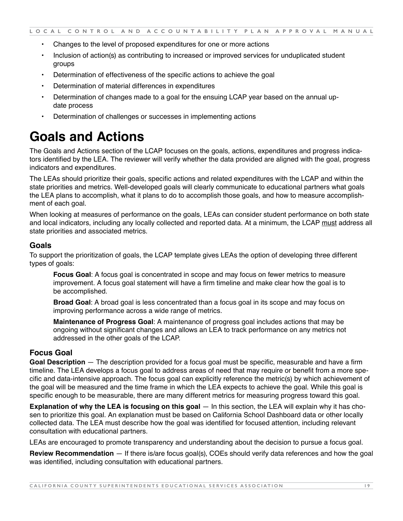- <span id="page-19-0"></span>• Changes to the level of proposed expenditures for one or more actions
- Inclusion of action(s) as contributing to increased or improved services for unduplicated student groups
- Determination of effectiveness of the specific actions to achieve the goal
- Determination of material differences in expenditures
- Determination of changes made to a goal for the ensuing LCAP year based on the annual update process
- Determination of challenges or successes in implementing actions

# **Goals and Actions**

The Goals and Actions section of the LCAP focuses on the goals, actions, expenditures and progress indicators identified by the LEA. The reviewer will verify whether the data provided are aligned with the goal, progress indicators and expenditures.

The LEAs should prioritize their goals, specific actions and related expenditures with the LCAP and within the state priorities and metrics. Well-developed goals will clearly communicate to educational partners what goals the LEA plans to accomplish, what it plans to do to accomplish those goals, and how to measure accomplishment of each goal.

When looking at measures of performance on the goals, LEAs can consider student performance on both state and local indicators, including any locally collected and reported data. At a minimum, the LCAP must address all state priorities and associated metrics.

#### **Goals**

To support the prioritization of goals, the LCAP template gives LEAs the option of developing three different types of goals:

**Focus Goal**: A focus goal is concentrated in scope and may focus on fewer metrics to measure improvement. A focus goal statement will have a firm timeline and make clear how the goal is to be accomplished.

**Broad Goal**: A broad goal is less concentrated than a focus goal in its scope and may focus on improving performance across a wide range of metrics.

**Maintenance of Progress Goal**: A maintenance of progress goal includes actions that may be ongoing without significant changes and allows an LEA to track performance on any metrics not addressed in the other goals of the LCAP.

#### **Focus Goal**

**Goal Description** — The description provided for a focus goal must be specific, measurable and have a firm timeline. The LEA develops a focus goal to address areas of need that may require or benefit from a more specific and data-intensive approach. The focus goal can explicitly reference the metric(s) by which achievement of the goal will be measured and the time frame in which the LEA expects to achieve the goal. While this goal is specific enough to be measurable, there are many different metrics for measuring progress toward this goal.

**Explanation of why the LEA is focusing on this goal** — In this section, the LEA will explain why it has chosen to prioritize this goal. An explanation must be based on California School Dashboard data or other locally collected data. The LEA must describe how the goal was identified for focused attention, including relevant consultation with educational partners.

LEAs are encouraged to promote transparency and understanding about the decision to pursue a focus goal.

**Review Recommendation** — If there is/are focus goal(s), COEs should verify data references and how the goal was identified, including consultation with educational partners.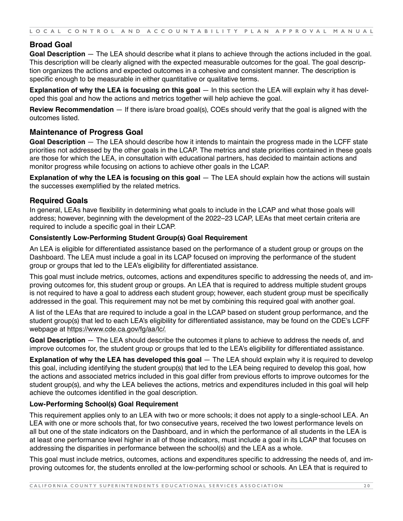## **Broad Goal**

**Goal Description** — The LEA should describe what it plans to achieve through the actions included in the goal. This description will be clearly aligned with the expected measurable outcomes for the goal. The goal description organizes the actions and expected outcomes in a cohesive and consistent manner. The description is specific enough to be measurable in either quantitative or qualitative terms.

**Explanation of why the LEA is focusing on this goal** — In this section the LEA will explain why it has developed this goal and how the actions and metrics together will help achieve the goal.

**Review Recommendation** — If there is/are broad goal(s), COEs should verify that the goal is aligned with the outcomes listed.

#### **Maintenance of Progress Goal**

**Goal Description** — The LEA should describe how it intends to maintain the progress made in the LCFF state priorities not addressed by the other goals in the LCAP. The metrics and state priorities contained in these goals are those for which the LEA, in consultation with educational partners, has decided to maintain actions and monitor progress while focusing on actions to achieve other goals in the LCAP.

**Explanation of why the LEA is focusing on this goal** — The LEA should explain how the actions will sustain the successes exemplified by the related metrics.

## **Required Goals**

In general, LEAs have flexibility in determining what goals to include in the LCAP and what those goals will address; however, beginning with the development of the 2022–23 LCAP, LEAs that meet certain criteria are required to include a specific goal in their LCAP.

#### **Consistently Low-Performing Student Group(s) Goal Requirement**

An LEA is eligible for differentiated assistance based on the performance of a student group or groups on the Dashboard. The LEA must include a goal in its LCAP focused on improving the performance of the student group or groups that led to the LEA's eligibility for differentiated assistance.

This goal must include metrics, outcomes, actions and expenditures specific to addressing the needs of, and improving outcomes for, this student group or groups. An LEA that is required to address multiple student groups is not required to have a goal to address each student group; however, each student group must be specifically addressed in the goal. This requirement may not be met by combining this required goal with another goal.

A list of the LEAs that are required to include a goal in the LCAP based on student group performance, and the student group(s) that led to each LEA's eligibility for differentiated assistance, may be found on the CDE's LCFF webpage at<https://www.cde.ca.gov/fg/aa/lc/>.

**Goal Description** — The LEA should describe the outcomes it plans to achieve to address the needs of, and improve outcomes for, the student group or groups that led to the LEA's eligibility for differentiated assistance.

**Explanation of why the LEA has developed this goal** — The LEA should explain why it is required to develop this goal, including identifying the student group(s) that led to the LEA being required to develop this goal, how the actions and associated metrics included in this goal differ from previous efforts to improve outcomes for the student group(s), and why the LEA believes the actions, metrics and expenditures included in this goal will help achieve the outcomes identified in the goal description.

#### **Low-Performing School(s) Goal Requirement**

This requirement applies only to an LEA with two or more schools; it does not apply to a single-school LEA. An LEA with one or more schools that, for two consecutive years, received the two lowest performance levels on all but one of the state indicators on the Dashboard, and in which the performance of all students in the LEA is at least one performance level higher in all of those indicators, must include a goal in its LCAP that focuses on addressing the disparities in performance between the school(s) and the LEA as a whole.

This goal must include metrics, outcomes, actions and expenditures specific to addressing the needs of, and improving outcomes for, the students enrolled at the low-performing school or schools. An LEA that is required to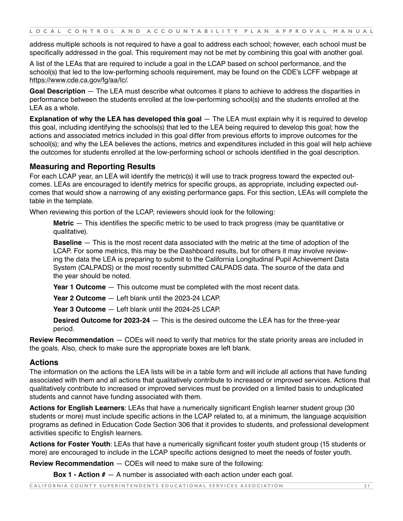address multiple schools is not required to have a goal to address each school; however, each school must be specifically addressed in the goal. This requirement may not be met by combining this goal with another goal.

A list of the LEAs that are required to include a goal in the LCAP based on school performance, and the school(s) that led to the low-performing schools requirement, may be found on the CDE's LCFF webpage at <https://www.cde.ca.gov/fg/aa/lc/>.

**Goal Description** — The LEA must describe what outcomes it plans to achieve to address the disparities in performance between the students enrolled at the low-performing school(s) and the students enrolled at the LEA as a whole.

**Explanation of why the LEA has developed this goal** — The LEA must explain why it is required to develop this goal, including identifying the schools(s) that led to the LEA being required to develop this goal; how the actions and associated metrics included in this goal differ from previous efforts to improve outcomes for the school(s); and why the LEA believes the actions, metrics and expenditures included in this goal will help achieve the outcomes for students enrolled at the low-performing school or schools identified in the goal description.

#### **Measuring and Reporting Results**

For each LCAP year, an LEA will identify the metric(s) it will use to track progress toward the expected outcomes. LEAs are encouraged to identify metrics for specific groups, as appropriate, including expected outcomes that would show a narrowing of any existing performance gaps. For this section, LEAs will complete the table in the template.

When reviewing this portion of the LCAP, reviewers should look for the following:

**Metric** — This identifies the specific metric to be used to track progress (may be quantitative or qualitative).

**Baseline** — This is the most recent data associated with the metric at the time of adoption of the LCAP. For some metrics, this may be the Dashboard results, but for others it may involve reviewing the data the LEA is preparing to submit to the California Longitudinal Pupil Achievement Data System (CALPADS) or the most recently submitted CALPADS data. The source of the data and the year should be noted.

**Year 1 Outcome** — This outcome must be completed with the most recent data.

**Year 2 Outcome** — Left blank until the 2023-24 LCAP.

**Year 3 Outcome** — Left blank until the 2024-25 LCAP.

**Desired Outcome for 2023-24** — This is the desired outcome the LEA has for the three-year period.

**Review Recommendation** — COEs will need to verify that metrics for the state priority areas are included in the goals. Also, check to make sure the appropriate boxes are left blank.

#### **Actions**

The information on the actions the LEA lists will be in a table form and will include all actions that have funding associated with them and all actions that qualitatively contribute to increased or improved services. Actions that qualitatively contribute to increased or improved services must be provided on a limited basis to unduplicated students and cannot have funding associated with them.

**Actions for English Learners**: LEAs that have a numerically significant English learner student group (30 students or more) must include specific actions in the LCAP related to, at a minimum, the language acquisition programs as defined in Education Code Section 306 that it provides to students, and professional development activities specific to English learners.

**Actions for Foster Youth**: LEAs that have a numerically significant foster youth student group (15 students or more) are encouraged to include in the LCAP specific actions designed to meet the needs of foster youth.

**Review Recommendation** — COEs will need to make sure of the following:

**Box 1 - Action #** — A number is associated with each action under each goal.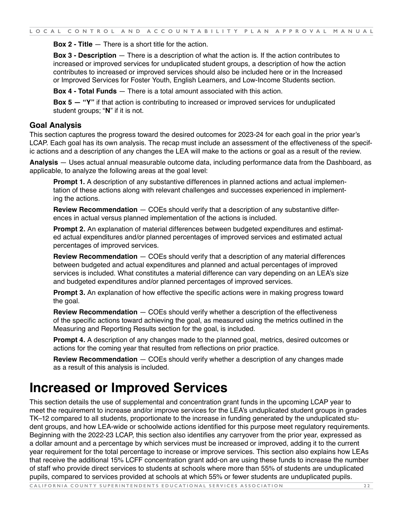<span id="page-22-0"></span>**Box 2 - Title** — There is a short title for the action.

**Box 3 - Description** — There is a description of what the action is. If the action contributes to increased or improved services for unduplicated student groups, a description of how the action contributes to increased or improved services should also be included here or in the Increased or Improved Services for Foster Youth, English Learners, and Low-Income Students section.

**Box 4 - Total Funds** — There is a total amount associated with this action.

**Box 5 — "Y"** if that action is contributing to increased or improved services for unduplicated student groups; "**N**" if it is not.

#### **Goal Analysis**

This section captures the progress toward the desired outcomes for 2023-24 for each goal in the prior year's LCAP. Each goal has its own analysis. The recap must include an assessment of the effectiveness of the specific actions and a description of any changes the LEA will make to the actions or goal as a result of the review.

**Analysis** — Uses actual annual measurable outcome data, including performance data from the Dashboard, as applicable, to analyze the following areas at the goal level:

**Prompt 1.** A description of any substantive differences in planned actions and actual implementation of these actions along with relevant challenges and successes experienced in implementing the actions.

**Review Recommendation** — COEs should verify that a description of any substantive differences in actual versus planned implementation of the actions is included.

**Prompt 2.** An explanation of material differences between budgeted expenditures and estimated actual expenditures and/or planned percentages of improved services and estimated actual percentages of improved services.

**Review Recommendation** — COEs should verify that a description of any material differences between budgeted and actual expenditures and planned and actual percentages of improved services is included. What constitutes a material difference can vary depending on an LEA's size and budgeted expenditures and/or planned percentages of improved services.

**Prompt 3.** An explanation of how effective the specific actions were in making progress toward the goal.

**Review Recommendation** — COEs should verify whether a description of the effectiveness of the specific actions toward achieving the goal, as measured using the metrics outlined in the Measuring and Reporting Results section for the goal, is included.

**Prompt 4.** A description of any changes made to the planned goal, metrics, desired outcomes or actions for the coming year that resulted from reflections on prior practice.

**Review Recommendation** — COEs should verify whether a description of any changes made as a result of this analysis is included.

# **Increased or Improved Services**

This section details the use of supplemental and concentration grant funds in the upcoming LCAP year to meet the requirement to increase and/or improve services for the LEA's unduplicated student groups in grades TK–12 compared to all students, proportionate to the increase in funding generated by the unduplicated student groups, and how LEA-wide or schoolwide actions identified for this purpose meet regulatory requirements. Beginning with the 2022-23 LCAP, this section also identifies any carryover from the prior year, expressed as a dollar amount and a percentage by which services must be increased or improved, adding it to the current year requirement for the total percentage to increase or improve services. This section also explains how LEAs that receive the additional 15% LCFF concentration grant add-on are using these funds to increase the number of staff who provide direct services to students at schools where more than 55% of students are unduplicated pupils, compared to services provided at schools at which 55% or fewer students are unduplicated pupils.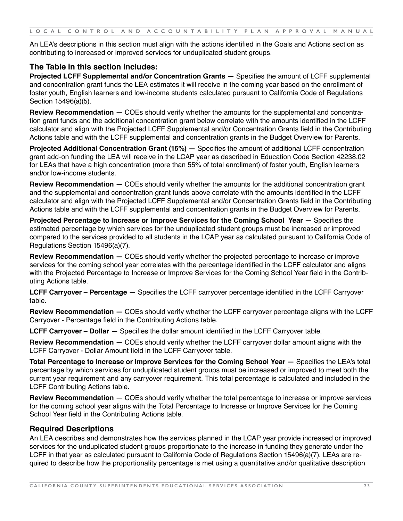An LEA's descriptions in this section must align with the actions identified in the Goals and Actions section as contributing to increased or improved services for unduplicated student groups.

## **The Table in this section includes:**

**Projected LCFF Supplemental and/or Concentration Grants —** Specifies the amount of LCFF supplemental and concentration grant funds the LEA estimates it will receive in the coming year based on the enrollment of foster youth, English learners and low-income students calculated pursuant to California Code of Regulations Section 15496(a)(5).

**Review Recommendation —** COEs should verify whether the amounts for the supplemental and concentration grant funds and the additional concentration grant below correlate with the amounts identified in the LCFF calculator and align with the Projected LCFF Supplemental and/or Concentration Grants field in the Contributing Actions table and with the LCFF supplemental and concentration grants in the Budget Overview for Parents.

**Projected Additional Concentration Grant (15%) —** Specifies the amount of additional LCFF concentration grant add-on funding the LEA will receive in the LCAP year as described in Education Code Section 42238.02 for LEAs that have a high concentration (more than 55% of total enrollment) of foster youth, English learners and/or low-income students.

**Review Recommendation —** COEs should verify whether the amounts for the additional concentration grant and the supplemental and concentration grant funds above correlate with the amounts identified in the LCFF calculator and align with the Projected LCFF Supplemental and/or Concentration Grants field in the Contributing Actions table and with the LCFF supplemental and concentration grants in the Budget Overview for Parents.

**Projected Percentage to Increase or Improve Services for the Coming School Year —** Specifies the estimated percentage by which services for the unduplicated student groups must be increased or improved compared to the services provided to all students in the LCAP year as calculated pursuant to California Code of Regulations Section 15496(a)(7).

**Review Recommendation —** COEs should verify whether the projected percentage to increase or improve services for the coming school year correlates with the percentage identified in the LCFF calculator and aligns with the Projected Percentage to Increase or Improve Services for the Coming School Year field in the Contributing Actions table.

**LCFF Carryover – Percentage —** Specifies the LCFF carryover percentage identified in the LCFF Carryover table.

**Review Recommendation —** COEs should verify whether the LCFF carryover percentage aligns with the LCFF Carryover - Percentage field in the Contributing Actions table.

**LCFF Carryover – Dollar —** Specifies the dollar amount identified in the LCFF Carryover table.

**Review Recommendation —** COEs should verify whether the LCFF carryover dollar amount aligns with the LCFF Carryover - Dollar Amount field in the LCFF Carryover table.

**Total Percentage to Increase or Improve Services for the Coming School Year —** Specifies the LEA's total percentage by which services for unduplicated student groups must be increased or improved to meet both the current year requirement and any carryover requirement. This total percentage is calculated and included in the LCFF Contributing Actions table.

**Review Recommendation** — COEs should verify whether the total percentage to increase or improve services for the coming school year aligns with the Total Percentage to Increase or Improve Services for the Coming School Year field in the Contributing Actions table.

## **Required Descriptions**

An LEA describes and demonstrates how the services planned in the LCAP year provide increased or improved services for the unduplicated student groups proportionate to the increase in funding they generate under the LCFF in that year as calculated pursuant to California Code of Regulations Section 15496(a)(7). LEAs are required to describe how the proportionality percentage is met using a quantitative and/or qualitative description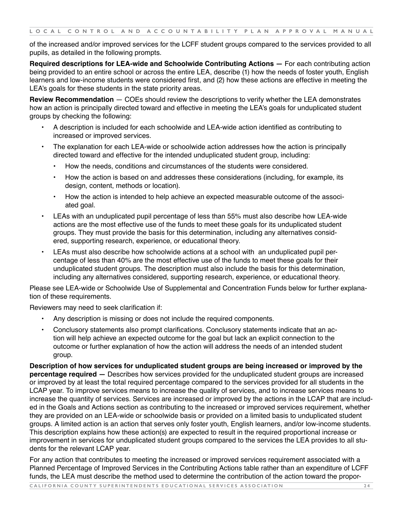of the increased and/or improved services for the LCFF student groups compared to the services provided to all pupils, as detailed in the following prompts.

**Required descriptions for LEA-wide and Schoolwide Contributing Actions —** For each contributing action being provided to an entire school or across the entire LEA, describe (1) how the needs of foster youth, English learners and low-income students were considered first, and (2) how these actions are effective in meeting the LEA's goals for these students in the state priority areas.

**Review Recommendation** — COEs should review the descriptions to verify whether the LEA demonstrates how an action is principally directed toward and effective in meeting the LEA's goals for unduplicated student groups by checking the following:

- A description is included for each schoolwide and LEA-wide action identified as contributing to increased or improved services.
- The explanation for each LEA-wide or schoolwide action addresses how the action is principally directed toward and effective for the intended unduplicated student group, including:
	- How the needs, conditions and circumstances of the students were considered.
	- How the action is based on and addresses these considerations (including, for example, its design, content, methods or location).
	- How the action is intended to help achieve an expected measurable outcome of the associated goal.
- LEAs with an unduplicated pupil percentage of less than 55% must also describe how LEA-wide actions are the most effective use of the funds to meet these goals for its unduplicated student groups. They must provide the basis for this determination, including any alternatives considered, supporting research, experience, or educational theory.
- LEAs must also describe how schoolwide actions at a school with an unduplicated pupil percentage of less than 40% are the most effective use of the funds to meet these goals for their unduplicated student groups. The description must also include the basis for this determination, including any alternatives considered, supporting research, experience, or educational theory.

Please see LEA-wide or Schoolwide Use of Supplemental and Concentration Funds below for further explanation of these requirements.

Reviewers may need to seek clarification if:

- Any description is missing or does not include the required components.
- Conclusory statements also prompt clarifications. Conclusory statements indicate that an action will help achieve an expected outcome for the goal but lack an explicit connection to the outcome or further explanation of how the action will address the needs of an intended student group.

**Description of how services for unduplicated student groups are being increased or improved by the percentage required —** Describes how services provided for the unduplicated student groups are increased or improved by at least the total required percentage compared to the services provided for all students in the LCAP year. To improve services means to increase the quality of services, and to increase services means to increase the quantity of services. Services are increased or improved by the actions in the LCAP that are included in the Goals and Actions section as contributing to the increased or improved services requirement, whether they are provided on an LEA-wide or schoolwide basis or provided on a limited basis to unduplicated student groups. A limited action is an action that serves only foster youth, English learners, and/or low-income students. This description explains how these action(s) are expected to result in the required proportional increase or improvement in services for unduplicated student groups compared to the services the LEA provides to all students for the relevant LCAP year.

**CALIFORNIA COUNTY SUPERINTENDENTS EDUCATIONAL SERVICES ASSOCIATION 2 4** For any action that contributes to meeting the increased or improved services requirement associated with a Planned Percentage of Improved Services in the Contributing Actions table rather than an expenditure of LCFF funds, the LEA must describe the method used to determine the contribution of the action toward the propor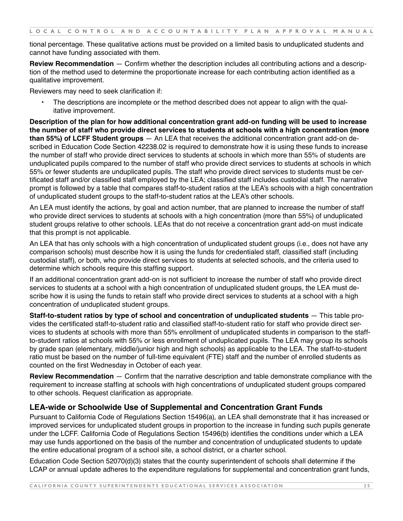tional percentage. These qualitative actions must be provided on a limited basis to unduplicated students and cannot have funding associated with them.

**Review Recommendation** — Confirm whether the description includes all contributing actions and a description of the method used to determine the proportionate increase for each contributing action identified as a qualitative improvement.

Reviewers may need to seek clarification if:

• The descriptions are incomplete or the method described does not appear to align with the qualitative improvement.

**Description of the plan for how additional concentration grant add-on funding will be used to increase the number of staff who provide direct services to students at schools with a high concentration (more than 55%) of LCFF Student groups** — An LEA that receives the additional concentration grant add-on described in Education Code Section 42238.02 is required to demonstrate how it is using these funds to increase the number of staff who provide direct services to students at schools in which more than 55% of students are unduplicated pupils compared to the number of staff who provide direct services to students at schools in which 55% or fewer students are unduplicated pupils. The staff who provide direct services to students must be certificated staff and/or classified staff employed by the LEA; classified staff includes custodial staff. The narrative prompt is followed by a table that compares staff-to-student ratios at the LEA's schools with a high concentration of unduplicated student groups to the staff-to-student ratios at the LEA's other schools.

An LEA must identify the actions, by goal and action number, that are planned to increase the number of staff who provide direct services to students at schools with a high concentration (more than 55%) of unduplicated student groups relative to other schools. LEAs that do not receive a concentration grant add-on must indicate that this prompt is not applicable.

An LEA that has only schools with a high concentration of unduplicated student groups (i.e., does not have any comparison schools) must describe how it is using the funds for credentialed staff, classified staff (including custodial staff), or both, who provide direct services to students at selected schools, and the criteria used to determine which schools require this staffing support.

If an additional concentration grant add-on is not sufficient to increase the number of staff who provide direct services to students at a school with a high concentration of unduplicated student groups, the LEA must describe how it is using the funds to retain staff who provide direct services to students at a school with a high concentration of unduplicated student groups.

**Staff-to-student ratios by type of school and concentration of unduplicated students** — This table provides the certificated staff-to-student ratio and classified staff-to-student ratio for staff who provide direct services to students at schools with more than 55% enrollment of unduplicated students in comparison to the staffto-student ratios at schools with 55% or less enrollment of unduplicated pupils. The LEA may group its schools by grade span (elementary, middle/junior high and high schools) as applicable to the LEA. The staff-to-student ratio must be based on the number of full-time equivalent (FTE) staff and the number of enrolled students as counted on the first Wednesday in October of each year.

**Review Recommendation** — Confirm that the narrative description and table demonstrate compliance with the requirement to increase staffing at schools with high concentrations of unduplicated student groups compared to other schools. Request clarification as appropriate.

## **LEA-wide or Schoolwide Use of Supplemental and Concentration Grant Funds**

Pursuant to California Code of Regulations Section 15496(a), an LEA shall demonstrate that it has increased or improved services for unduplicated student groups in proportion to the increase in funding such pupils generate under the LCFF. California Code of Regulations Section 15496(b) identifies the conditions under which a LEA may use funds apportioned on the basis of the number and concentration of unduplicated students to update the entire educational program of a school site, a school district, or a charter school.

Education Code Section 52070(d)(3) states that the county superintendent of schools shall determine if the LCAP or annual update adheres to the expenditure regulations for supplemental and concentration grant funds,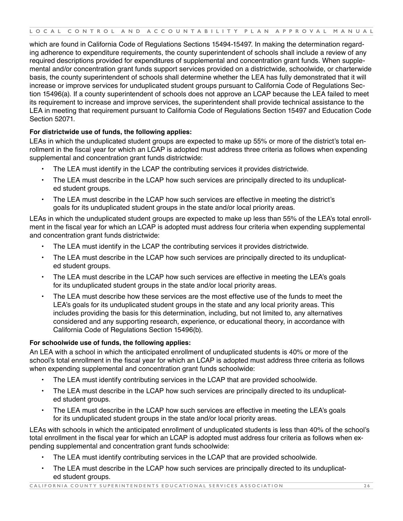which are found in California Code of Regulations Sections 15494-15497. In making the determination regarding adherence to expenditure requirements, the county superintendent of schools shall include a review of any required descriptions provided for expenditures of supplemental and concentration grant funds. When supplemental and/or concentration grant funds support services provided on a districtwide, schoolwide, or charterwide basis, the county superintendent of schools shall determine whether the LEA has fully demonstrated that it will increase or improve services for unduplicated student groups pursuant to California Code of Regulations Section 15496(a). If a county superintendent of schools does not approve an LCAP because the LEA failed to meet its requirement to increase and improve services, the superintendent shall provide technical assistance to the LEA in meeting that requirement pursuant to California Code of Regulations Section 15497 and Education Code Section 52071.

#### **For districtwide use of funds, the following applies:**

LEAs in which the unduplicated student groups are expected to make up 55% or more of the district's total enrollment in the fiscal year for which an LCAP is adopted must address three criteria as follows when expending supplemental and concentration grant funds districtwide:

- The LEA must identify in the LCAP the contributing services it provides districtwide.
- The LEA must describe in the LCAP how such services are principally directed to its unduplicated student groups.
- The LEA must describe in the LCAP how such services are effective in meeting the district's goals for its unduplicated student groups in the state and/or local priority areas.

LEAs in which the unduplicated student groups are expected to make up less than 55% of the LEA's total enrollment in the fiscal year for which an LCAP is adopted must address four criteria when expending supplemental and concentration grant funds districtwide:

- The LEA must identify in the LCAP the contributing services it provides districtwide.
- The LEA must describe in the LCAP how such services are principally directed to its unduplicated student groups.
- The LEA must describe in the LCAP how such services are effective in meeting the LEA's goals for its unduplicated student groups in the state and/or local priority areas.
- The LEA must describe how these services are the most effective use of the funds to meet the LEA's goals for its unduplicated student groups in the state and any local priority areas. This includes providing the basis for this determination, including, but not limited to, any alternatives considered and any supporting research, experience, or educational theory, in accordance with California Code of Regulations Section 15496(b).

#### **For schoolwide use of funds, the following applies:**

An LEA with a school in which the anticipated enrollment of unduplicated students is 40% or more of the school's total enrollment in the fiscal year for which an LCAP is adopted must address three criteria as follows when expending supplemental and concentration grant funds schoolwide:

- The LEA must identify contributing services in the LCAP that are provided schoolwide.
- The LEA must describe in the LCAP how such services are principally directed to its unduplicated student groups.
- The LEA must describe in the LCAP how such services are effective in meeting the LEA's goals for its unduplicated student groups in the state and/or local priority areas.

LEAs with schools in which the anticipated enrollment of unduplicated students is less than 40% of the school's total enrollment in the fiscal year for which an LCAP is adopted must address four criteria as follows when expending supplemental and concentration grant funds schoolwide:

- The LEA must identify contributing services in the LCAP that are provided schoolwide.
- The LEA must describe in the LCAP how such services are principally directed to its unduplicated student groups.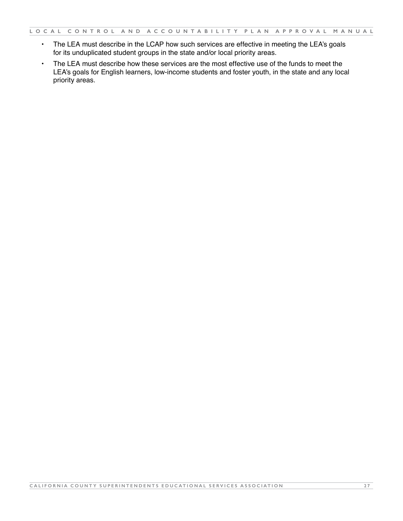- The LEA must describe in the LCAP how such services are effective in meeting the LEA's goals for its unduplicated student groups in the state and/or local priority areas.
- The LEA must describe how these services are the most effective use of the funds to meet the LEA's goals for English learners, low-income students and foster youth, in the state and any local priority areas.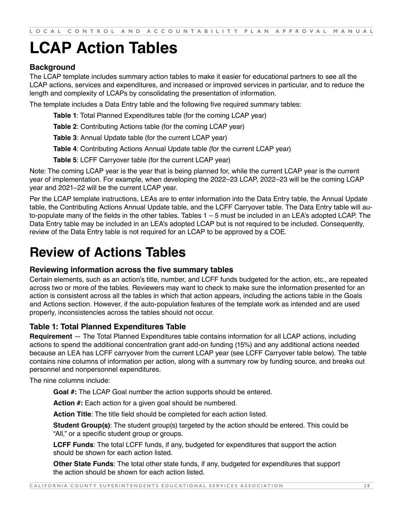# <span id="page-28-0"></span>**LCAP Action Tables**

## **Background**

The LCAP template includes summary action tables to make it easier for educational partners to see all the LCAP actions, services and expenditures, and increased or improved services in particular, and to reduce the length and complexity of LCAPs by consolidating the presentation of information.

The template includes a Data Entry table and the following five required summary tables:

**Table 1**: Total Planned Expenditures table (for the coming LCAP year)

**Table 2**: Contributing Actions table (for the coming LCAP year)

**Table 3**: Annual Update table (for the current LCAP year)

**Table 4**: Contributing Actions Annual Update table (for the current LCAP year)

**Table 5**: LCFF Carryover table (for the current LCAP year)

Note: The coming LCAP year is the year that is being planned for, while the current LCAP year is the current year of implementation. For example, when developing the 2022–23 LCAP, 2022–23 will be the coming LCAP year and 2021–22 will be the current LCAP year.

Per the LCAP template instructions, LEAs are to enter information into the Data Entry table, the Annual Update table, the Contributing Actions Annual Update table, and the LCFF Carryover table. The Data Entry table will auto-populate many of the fields in the other tables. Tables 1 – 5 must be included in an LEA's adopted LCAP. The Data Entry table may be included in an LEA's adopted LCAP but is not required to be included. Consequently, review of the Data Entry table is not required for an LCAP to be approved by a COE.

# **Review of Actions Tables**

#### **Reviewing information across the five summary tables**

Certain elements, such as an action's title, number, and LCFF funds budgeted for the action, etc., are repeated across two or more of the tables. Reviewers may want to check to make sure the information presented for an action is consistent across all the tables in which that action appears, including the actions table in the Goals and Actions section. However, if the auto-population features of the template work as intended and are used properly, inconsistencies across the tables should not occur.

#### **Table 1: Total Planned Expenditures Table**

**Requirement** — The Total Planned Expenditures table contains information for all LCAP actions, including actions to spend the additional concentration grant add-on funding (15%) and any additional actions needed because an LEA has LCFF carryover from the current LCAP year (see LCFF Carryover table below). The table contains nine columns of information per action, along with a summary row by funding source, and breaks out personnel and nonpersonnel expenditures.

The nine columns include:

**Goal #:** The LCAP Goal number the action supports should be entered.

**Action #:** Each action for a given goal should be numbered.

**Action Title**: The title field should be completed for each action listed.

**Student Group(s)**: The student group(s) targeted by the action should be entered. This could be "All," or a specific student group or groups.

**LCFF Funds**: The total LCFF funds, if any, budgeted for expenditures that support the action should be shown for each action listed.

**Other State Funds**: The total other state funds, if any, budgeted for expenditures that support the action should be shown for each action listed.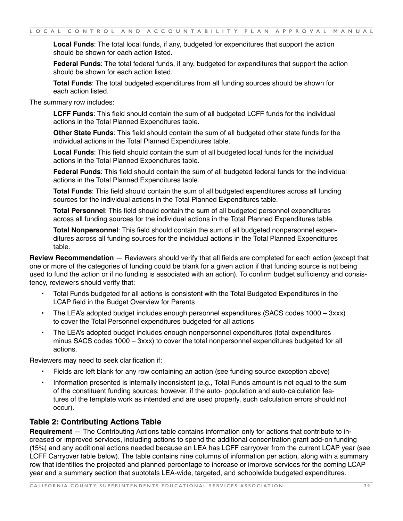**Local Funds**: The total local funds, if any, budgeted for expenditures that support the action should be shown for each action listed.

**Federal Funds**: The total federal funds, if any, budgeted for expenditures that support the action should be shown for each action listed.

**Total Funds**: The total budgeted expenditures from all funding sources should be shown for each action listed.

The summary row includes:

**LCFF Funds**: This field should contain the sum of all budgeted LCFF funds for the individual actions in the Total Planned Expenditures table.

**Other State Funds**: This field should contain the sum of all budgeted other state funds for the individual actions in the Total Planned Expenditures table.

**Local Funds**: This field should contain the sum of all budgeted local funds for the individual actions in the Total Planned Expenditures table.

**Federal Funds**: This field should contain the sum of all budgeted federal funds for the individual actions in the Total Planned Expenditures table.

**Total Funds**: This field should contain the sum of all budgeted expenditures across all funding sources for the individual actions in the Total Planned Expenditures table.

**Total Personnel**: This field should contain the sum of all budgeted personnel expenditures across all funding sources for the individual actions in the Total Planned Expenditures table.

**Total Nonpersonnel**: This field should contain the sum of all budgeted nonpersonnel expenditures across all funding sources for the individual actions in the Total Planned Expenditures table.

**Review Recommendation** — Reviewers should verify that all fields are completed for each action (except that one or more of the categories of funding could be blank for a given action if that funding source is not being used to fund the action or if no funding is associated with an action). To confirm budget sufficiency and consistency, reviewers should verify that:

- Total Funds budgeted for all actions is consistent with the Total Budgeted Expenditures in the LCAP field in the Budget Overview for Parents
- The LEA's adopted budget includes enough personnel expenditures (SACS codes 1000 3xxx) to cover the Total Personnel expenditures budgeted for all actions
- The LEA's adopted budget includes enough nonpersonnel expenditures (total expenditures minus SACS codes 1000 – 3xxx) to cover the total nonpersonnel expenditures budgeted for all actions.

Reviewers may need to seek clarification if:

- Fields are left blank for any row containing an action (see funding source exception above)
- Information presented is internally inconsistent (e.g., Total Funds amount is not equal to the sum of the constituent funding sources; however, if the auto- population and auto-calculation features of the template work as intended and are used properly, such calculation errors should not occur).

#### **Table 2: Contributing Actions Table**

**Requirement** — The Contributing Actions table contains information only for actions that contribute to increased or improved services, including actions to spend the additional concentration grant add-on funding (15%) and any additional actions needed because an LEA has LCFF carryover from the current LCAP year (see LCFF Carryover table below). The table contains nine columns of information per action, along with a summary row that identifies the projected and planned percentage to increase or improve services for the coming LCAP year and a summary section that subtotals LEA-wide, targeted, and schoolwide budgeted expenditures.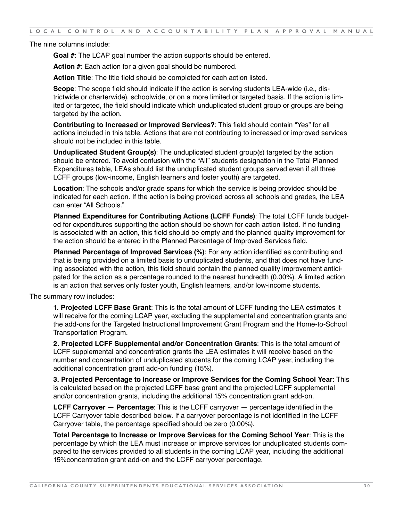The nine columns include:

**Goal #**: The LCAP goal number the action supports should be entered.

**Action #**: Each action for a given goal should be numbered.

**Action Title**: The title field should be completed for each action listed.

**Scope**: The scope field should indicate if the action is serving students LEA-wide (i.e., districtwide or charterwide), schoolwide, or on a more limited or targeted basis. If the action is limited or targeted, the field should indicate which unduplicated student group or groups are being targeted by the action.

**Contributing to Increased or Improved Services?**: This field should contain "Yes" for all actions included in this table. Actions that are not contributing to increased or improved services should not be included in this table.

**Unduplicated Student Group(s)**: The unduplicated student group(s) targeted by the action should be entered. To avoid confusion with the "All" students designation in the Total Planned Expenditures table, LEAs should list the unduplicated student groups served even if all three LCFF groups (low-income, English learners and foster youth) are targeted.

**Location**: The schools and/or grade spans for which the service is being provided should be indicated for each action. If the action is being provided across all schools and grades, the LEA can enter "All Schools."

**Planned Expenditures for Contributing Actions (LCFF Funds)**: The total LCFF funds budgeted for expenditures supporting the action should be shown for each action listed. If no funding is associated with an action, this field should be empty and the planned quality improvement for the action should be entered in the Planned Percentage of Improved Services field.

**Planned Percentage of Improved Services (%)**: For any action identified as contributing and that is being provided on a limited basis to unduplicated students, and that does not have funding associated with the action, this field should contain the planned quality improvement anticipated for the action as a percentage rounded to the nearest hundredth (0.00%). A limited action is an action that serves only foster youth, English learners, and/or low-income students.

The summary row includes:

**1. Projected LCFF Base Grant**: This is the total amount of LCFF funding the LEA estimates it will receive for the coming LCAP year, excluding the supplemental and concentration grants and the add-ons for the Targeted Instructional Improvement Grant Program and the Home-to-School Transportation Program.

**2. Projected LCFF Supplemental and/or Concentration Grants**: This is the total amount of LCFF supplemental and concentration grants the LEA estimates it will receive based on the number and concentration of unduplicated students for the coming LCAP year, including the additional concentration grant add-on funding (15%).

**3. Projected Percentage to Increase or Improve Services for the Coming School Year**: This is calculated based on the projected LCFF base grant and the projected LCFF supplemental and/or concentration grants, including the additional 15% concentration grant add-on.

**LCFF Carryover — Percentage**: This is the LCFF carryover — percentage identified in the LCFF Carryover table described below. If a carryover percentage is not identified in the LCFF Carryover table, the percentage specified should be zero (0.00%).

**Total Percentage to Increase or Improve Services for the Coming School Year**: This is the percentage by which the LEA must increase or improve services for unduplicated students compared to the services provided to all students in the coming LCAP year, including the additional 15%concentration grant add-on and the LCFF carryover percentage.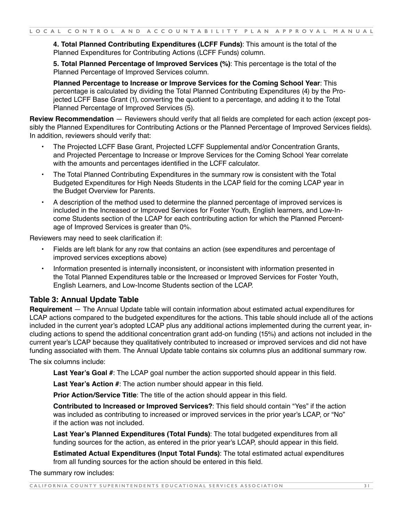**4. Total Planned Contributing Expenditures (LCFF Funds)**: This amount is the total of the Planned Expenditures for Contributing Actions (LCFF Funds) column.

**5. Total Planned Percentage of Improved Services (%)**: This percentage is the total of the Planned Percentage of Improved Services column.

**Planned Percentage to Increase or Improve Services for the Coming School Year**: This percentage is calculated by dividing the Total Planned Contributing Expenditures (4) by the Projected LCFF Base Grant (1), converting the quotient to a percentage, and adding it to the Total Planned Percentage of Improved Services (5).

**Review Recommendation** — Reviewers should verify that all fields are completed for each action (except possibly the Planned Expenditures for Contributing Actions or the Planned Percentage of Improved Services fields). In addition, reviewers should verify that:

- The Projected LCFF Base Grant, Projected LCFF Supplemental and/or Concentration Grants, and Projected Percentage to Increase or Improve Services for the Coming School Year correlate with the amounts and percentages identified in the LCFF calculator.
- The Total Planned Contributing Expenditures in the summary row is consistent with the Total Budgeted Expenditures for High Needs Students in the LCAP field for the coming LCAP year in the Budget Overview for Parents.
- A description of the method used to determine the planned percentage of improved services is included in the Increased or Improved Services for Foster Youth, English learners, and Low-Income Students section of the LCAP for each contributing action for which the Planned Percentage of Improved Services is greater than 0%.

Reviewers may need to seek clarification if:

- Fields are left blank for any row that contains an action (see expenditures and percentage of improved services exceptions above)
- Information presented is internally inconsistent, or inconsistent with information presented in the Total Planned Expenditures table or the Increased or Improved Services for Foster Youth, English Learners, and Low-Income Students section of the LCAP.

#### **Table 3: Annual Update Table**

**Requirement** — The Annual Update table will contain information about estimated actual expenditures for LCAP actions compared to the budgeted expenditures for the actions. This table should include all of the actions included in the current year's adopted LCAP plus any additional actions implemented during the current year, including actions to spend the additional concentration grant add-on funding (15%) and actions not included in the current year's LCAP because they qualitatively contributed to increased or improved services and did not have funding associated with them. The Annual Update table contains six columns plus an additional summary row.

The six columns include:

**Last Year's Goal #**: The LCAP goal number the action supported should appear in this field.

**Last Year's Action #**: The action number should appear in this field.

**Prior Action/Service Title**: The title of the action should appear in this field.

**Contributed to Increased or Improved Services?**: This field should contain "Yes" if the action was included as contributing to increased or improved services in the prior year's LCAP, or "No" if the action was not included.

**Last Year's Planned Expenditures (Total Funds)**: The total budgeted expenditures from all funding sources for the action, as entered in the prior year's LCAP, should appear in this field.

**Estimated Actual Expenditures (Input Total Funds)**: The total estimated actual expenditures from all funding sources for the action should be entered in this field.

The summary row includes: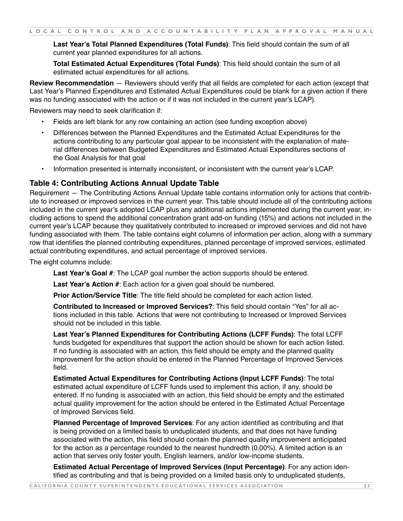**Last Year's Total Planned Expenditures (Total Funds)**: This field should contain the sum of all current year planned expenditures for all actions.

**Total Estimated Actual Expenditures (Total Funds)**: This field should contain the sum of all estimated actual expenditures for all actions.

**Review Recommendation** — Reviewers should verify that all fields are completed for each action (except that Last Year's Planned Expenditures and Estimated Actual Expenditures could be blank for a given action if there was no funding associated with the action or if it was not included in the current year's LCAP).

Reviewers may need to seek clarification if:

- Fields are left blank for any row containing an action (see funding exception above)
- Differences between the Planned Expenditures and the Estimated Actual Expenditures for the actions contributing to any particular goal appear to be inconsistent with the explanation of material differences between Budgeted Expenditures and Estimated Actual Expenditures sections of the Goal Analysis for that goal
- Information presented is internally inconsistent, or inconsistent with the current year's LCAP.

#### **Table 4: Contributing Actions Annual Update Table**

Requirement — The Contributing Actions Annual Update table contains information only for actions that contribute to increased or improved services in the current year. This table should include all of the contributing actions included in the current year's adopted LCAP plus any additional actions implemented during the current year, including actions to spend the additional concentration grant add-on funding (15%) and actions not included in the current year's LCAP because they qualitatively contributed to increased or improved services and did not have funding associated with them. The table contains eight columns of information per action, along with a summary row that identifies the planned contributing expenditures, planned percentage of improved services, estimated actual contributing expenditures, and actual percentage of improved services.

The eight columns include:

**Last Year's Goal #**: The LCAP goal number the action supports should be entered.

**Last Year's Action #**: Each action for a given goal should be numbered.

**Prior Action/Service Title**: The title field should be completed for each action listed.

**Contributed to Increased or Improved Services?**: This field should contain "Yes" for all actions included in this table. Actions that were not contributing to Increased or Improved Services should not be included in this table.

**Last Year's Planned Expenditures for Contributing Actions (LCFF Funds)**: The total LCFF funds budgeted for expenditures that support the action should be shown for each action listed. If no funding is associated with an action, this field should be empty and the planned quality improvement for the action should be entered in the Planned Percentage of Improved Services field.

**Estimated Actual Expenditures for Contributing Actions (Input LCFF Funds)**: The total estimated actual expenditure of LCFF funds used to implement this action, if any, should be entered. If no funding is associated with an action, this field should be empty and the estimated actual quality improvement for the action should be entered in the Estimated Actual Percentage of Improved Services field.

**Planned Percentage of Improved Services**: For any action identified as contributing and that is being provided on a limited basis to unduplicated students, and that does not have funding associated with the action, this field should contain the planned quality improvement anticipated for the action as a percentage rounded to the nearest hundredth (0.00%). A limited action is an action that serves only foster youth, English learners, and/or low-income students.

**Estimated Actual Percentage of Improved Services (Input Percentage)**: For any action identified as contributing and that is being provided on a limited basis only to unduplicated students,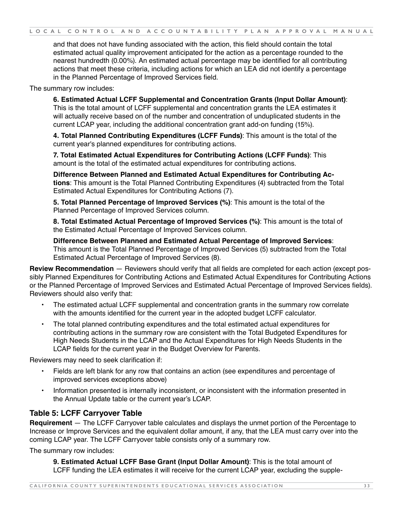and that does not have funding associated with the action, this field should contain the total estimated actual quality improvement anticipated for the action as a percentage rounded to the nearest hundredth (0.00%). An estimated actual percentage may be identified for all contributing actions that meet these criteria, including actions for which an LEA did not identify a percentage in the Planned Percentage of Improved Services field.

The summary row includes:

**6. Estimated Actual LCFF Supplemental and Concentration Grants (Input Dollar Amount)**: This is the total amount of LCFF supplemental and concentration grants the LEA estimates it will actually receive based on of the number and concentration of unduplicated students in the current LCAP year, including the additional concentration grant add-on funding (15%).

**4. Total Planned Contributing Expenditures (LCFF Funds)**: This amount is the total of the current year's planned expenditures for contributing actions.

**7. Total Estimated Actual Expenditures for Contributing Actions (LCFF Funds)**: This amount is the total of the estimated actual expenditures for contributing actions.

**Difference Between Planned and Estimated Actual Expenditures for Contributing Actions**: This amount is the Total Planned Contributing Expenditures (4) subtracted from the Total Estimated Actual Expenditures for Contributing Actions (7).

**5. Total Planned Percentage of Improved Services (%)**: This amount is the total of the Planned Percentage of Improved Services column.

**8. Total Estimated Actual Percentage of Improved Services (%)**: This amount is the total of the Estimated Actual Percentage of Improved Services column.

**Difference Between Planned and Estimated Actual Percentage of Improved Services**: This amount is the Total Planned Percentage of Improved Services (5) subtracted from the Total Estimated Actual Percentage of Improved Services (8).

**Review Recommendation** — Reviewers should verify that all fields are completed for each action (except possibly Planned Expenditures for Contributing Actions and Estimated Actual Expenditures for Contributing Actions or the Planned Percentage of Improved Services and Estimated Actual Percentage of Improved Services fields). Reviewers should also verify that:

- The estimated actual LCFF supplemental and concentration grants in the summary row correlate with the amounts identified for the current year in the adopted budget LCFF calculator.
- The total planned contributing expenditures and the total estimated actual expenditures for contributing actions in the summary row are consistent with the Total Budgeted Expenditures for High Needs Students in the LCAP and the Actual Expenditures for High Needs Students in the LCAP fields for the current year in the Budget Overview for Parents.

Reviewers may need to seek clarification if:

- Fields are left blank for any row that contains an action (see expenditures and percentage of improved services exceptions above)
- Information presented is internally inconsistent, or inconsistent with the information presented in the Annual Update table or the current year's LCAP.

#### **Table 5: LCFF Carryover Table**

**Requirement** — The LCFF Carryover table calculates and displays the unmet portion of the Percentage to Increase or Improve Services and the equivalent dollar amount, if any, that the LEA must carry over into the coming LCAP year. The LCFF Carryover table consists only of a summary row.

The summary row includes:

**9. Estimated Actual LCFF Base Grant (Input Dollar Amount)**: This is the total amount of LCFF funding the LEA estimates it will receive for the current LCAP year, excluding the supple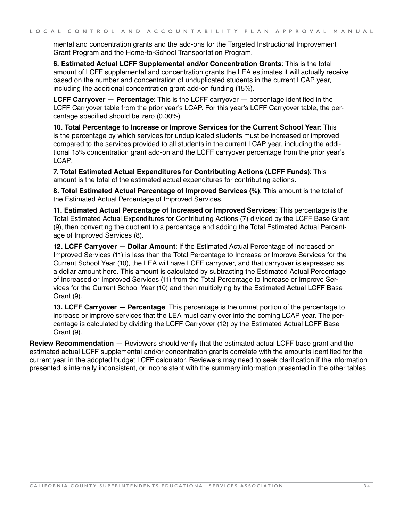mental and concentration grants and the add-ons for the Targeted Instructional Improvement Grant Program and the Home-to-School Transportation Program.

**6. Estimated Actual LCFF Supplemental and/or Concentration Grants**: This is the total amount of LCFF supplemental and concentration grants the LEA estimates it will actually receive based on the number and concentration of unduplicated students in the current LCAP year, including the additional concentration grant add-on funding (15%).

**LCFF Carryover — Percentage**: This is the LCFF carryover — percentage identified in the LCFF Carryover table from the prior year's LCAP. For this year's LCFF Carryover table, the percentage specified should be zero (0.00%).

**10. Total Percentage to Increase or Improve Services for the Current School Year**: This is the percentage by which services for unduplicated students must be increased or improved compared to the services provided to all students in the current LCAP year, including the additional 15% concentration grant add-on and the LCFF carryover percentage from the prior year's LCAP.

**7. Total Estimated Actual Expenditures for Contributing Actions (LCFF Funds)**: This amount is the total of the estimated actual expenditures for contributing actions.

**8. Total Estimated Actual Percentage of Improved Services (%)**: This amount is the total of the Estimated Actual Percentage of Improved Services.

**11. Estimated Actual Percentage of Increased or Improved Services**: This percentage is the Total Estimated Actual Expenditures for Contributing Actions (7) divided by the LCFF Base Grant (9), then converting the quotient to a percentage and adding the Total Estimated Actual Percentage of Improved Services (8).

**12. LCFF Carryover — Dollar Amount**: If the Estimated Actual Percentage of Increased or Improved Services (11) is less than the Total Percentage to Increase or Improve Services for the Current School Year (10), the LEA will have LCFF carryover, and that carryover is expressed as a dollar amount here. This amount is calculated by subtracting the Estimated Actual Percentage of Increased or Improved Services (11) from the Total Percentage to Increase or Improve Services for the Current School Year (10) and then multiplying by the Estimated Actual LCFF Base Grant (9).

**13. LCFF Carryover — Percentage**: This percentage is the unmet portion of the percentage to increase or improve services that the LEA must carry over into the coming LCAP year. The percentage is calculated by dividing the LCFF Carryover (12) by the Estimated Actual LCFF Base Grant (9).

**Review Recommendation** — Reviewers should verify that the estimated actual LCFF base grant and the estimated actual LCFF supplemental and/or concentration grants correlate with the amounts identified for the current year in the adopted budget LCFF calculator. Reviewers may need to seek clarification if the information presented is internally inconsistent, or inconsistent with the summary information presented in the other tables.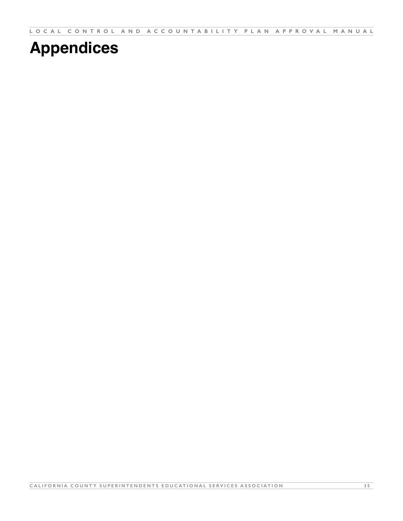<span id="page-35-0"></span>**LOCAL CONTROL AND ACCOUNTABILITY PLAN APPROVAL MANUAL**

# **Appendices**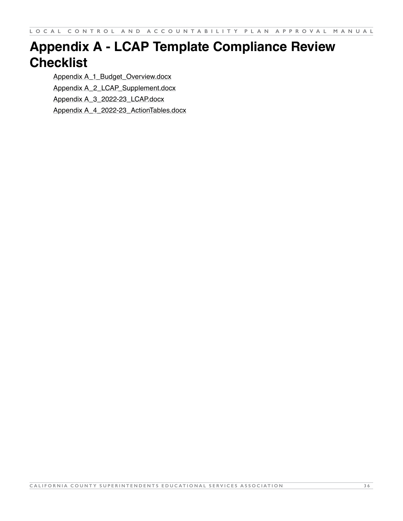# <span id="page-36-0"></span>**Appendix A - LCAP Template Compliance Review Checklist**

[Appendix A\\_1\\_Budget\\_Overview.docx](https://ccsesa.org/?wpfb_dl=8089) [Appendix A\\_2\\_LCAP\\_Supplement.docx](https://ccsesa.org/?wpfb_dl=8090) [Appendix A\\_3\\_2022-23\\_LCAP.docx](https://ccsesa.org/?wpfb_dl=8091) [Appendix A\\_4\\_2022-23\\_ActionTables.docx](https://ccsesa.org/?wpfb_dl=8092)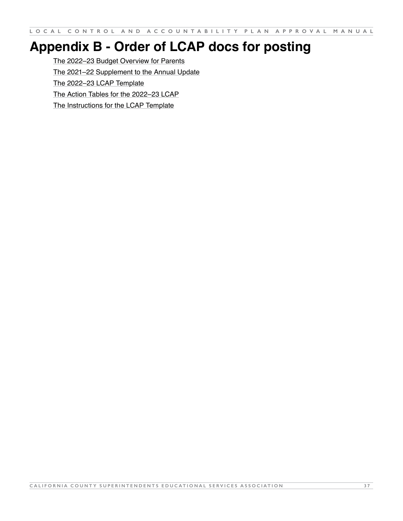# <span id="page-37-0"></span>**Appendix B - Order of LCAP docs for posting**

[The 2022–23 Budget Overview for Parents](https://www.cde.ca.gov/re/lc/documents/budgetoverviewparent2022.xlsx) [The 2021–22 Supplement to the Annual Update](https://www.cde.ca.gov/re/lc/documents/lcapsupplement.docx) [The 2022–23 LCAP Template](https://www.cde.ca.gov/re/lc/documents/lcaptemplate2022.docx) [The Action Tables for the 2022–23 LCAP](https://www.cde.ca.gov/re/lc/documents/lcapactiontables.xlsx) [The Instructions for the LCAP Template](https://www.cde.ca.gov/re/lc/documents/lcaptemplate2022.docx)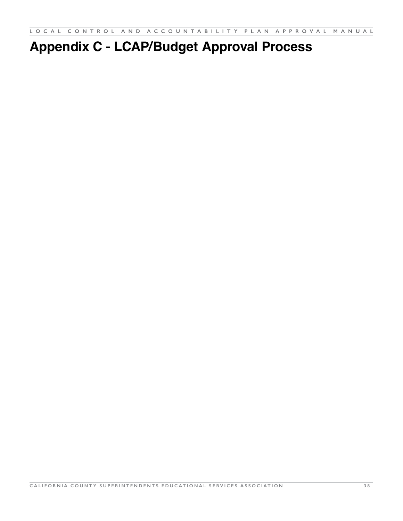# <span id="page-38-0"></span>**Appendix C - LCAP/Budget Approval Process**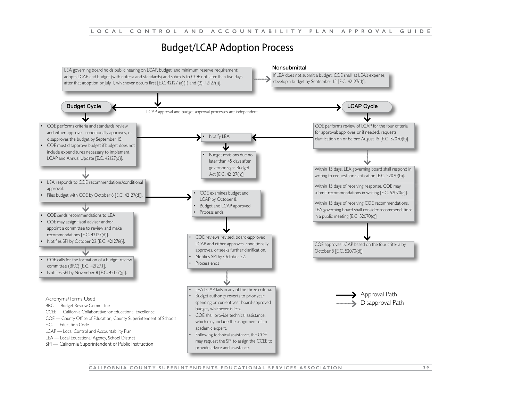# Budget/LCAP Adoption Process



**CALIFORNIA COUNTY SUPERINTENDENTS EDUCATIONAL SERVICES ASSOCIATION 3 9**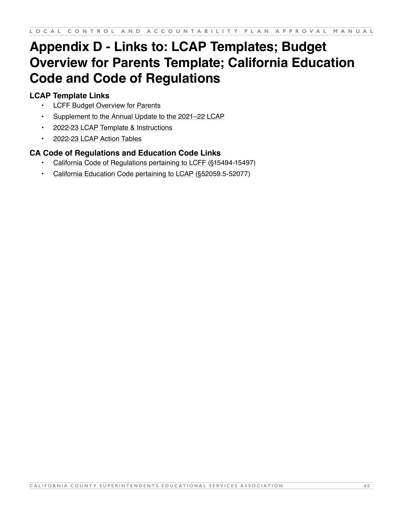# <span id="page-40-0"></span>**Appendix D - Links to: LCAP Templates; Budget Overview for Parents Template; California Education Code and Code of Regulations**

# **LCAP Template Links**

- **[LCFF Budget Overview for Parents](https://www.cde.ca.gov/re/lc/documents/budgetoverviewparent2022.xlsx)**
- [Supplement to the Annual Update to the 2021–22 LCAP](https://www.cde.ca.gov/re/lc/documents/lcapsupplement.docx)
- [2022-23 LCAP Template & Instructions](https://www.cde.ca.gov/re/lc/documents/lcaptemplate2022.docx)
- [2022-23 LCAP Action Tables](https://www.cde.ca.gov/re/lc/documents/lcapactiontables.xlsx)

# **CA Code of Regulations and Education Code Links**

- [California Code of Regulations pertaining to LCFF](https://govt.westlaw.com/calregs/Browse/Home/California/CaliforniaCodeofRegulations?guid=IE1B0865195AD11E38DAFC4EEE81B8018&originationContext=documenttoc&transitionType=Default&contextData=(sc.Default)&bhcp=1) (§15494-15497)
- [California Education Code pertaining to LCAP](https://leginfo.legislature.ca.gov/faces/codes_displayText.xhtml?lawCode=EDC&division=4.&title=2.&part=28.&chapter=6.1.&article=4.5.) (§52059.5-52077)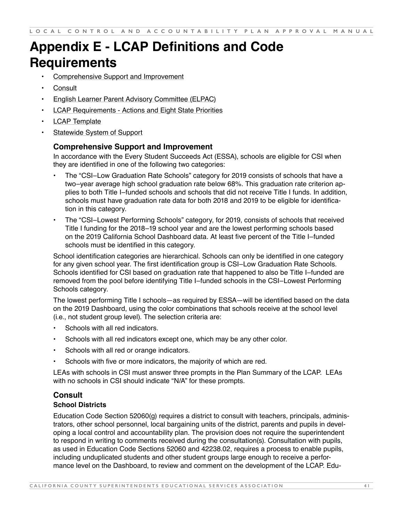# <span id="page-41-0"></span>**Appendix E - LCAP Definitions and Code Requirements**

- Comprehensive Support and Improvement
- **Consult**
- English Learner Parent Advisory Committee (ELPAC)
- **LCAP Requirements Actions and Eight State Priorities**
- LCAP Template
- Statewide System of Support

#### **Comprehensive Support and Improvement**

In accordance with the Every Student Succeeds Act (ESSA), schools are eligible for CSI when they are identified in one of the following two categories:

- The "CSI–Low Graduation Rate Schools" category for 2019 consists of schools that have a two–year average high school graduation rate below 68%. This graduation rate criterion applies to both Title I–funded schools and schools that did not receive Title I funds. In addition, schools must have graduation rate data for both 2018 and 2019 to be eligible for identification in this category.
- The "CSI–Lowest Performing Schools" category, for 2019, consists of schools that received Title I funding for the 2018–19 school year and are the lowest performing schools based on the 2019 California School Dashboard data. At least five percent of the Title I–funded schools must be identified in this category.

School identification categories are hierarchical. Schools can only be identified in one category for any given school year. The first identification group is CSI–Low Graduation Rate Schools. Schools identified for CSI based on graduation rate that happened to also be Title I–funded are removed from the pool before identifying Title I–funded schools in the CSI–Lowest Performing Schools category.

The lowest performing Title I schools—as required by ESSA—will be identified based on the data on the 2019 Dashboard, using the color combinations that schools receive at the school level (i.e., not student group level). The selection criteria are:

- Schools with all red indicators.
- Schools with all red indicators except one, which may be any other color.
- Schools with all red or orange indicators.
- Schools with five or more indicators, the majority of which are red.

LEAs with schools in CSI must answer three prompts in the Plan Summary of the LCAP. LEAs with no schools in CSI should indicate "N/A" for these prompts.

#### **Consult School Districts**

Education Code Section 52060(g) requires a district to consult with teachers, principals, administrators, other school personnel, local bargaining units of the district, parents and pupils in developing a local control and accountability plan. The provision does not require the superintendent to respond in writing to comments received during the consultation(s). Consultation with pupils, as used in Education Code Sections 52060 and 42238.02, requires a process to enable pupils, including unduplicated students and other student groups large enough to receive a performance level on the Dashboard, to review and comment on the development of the LCAP. Edu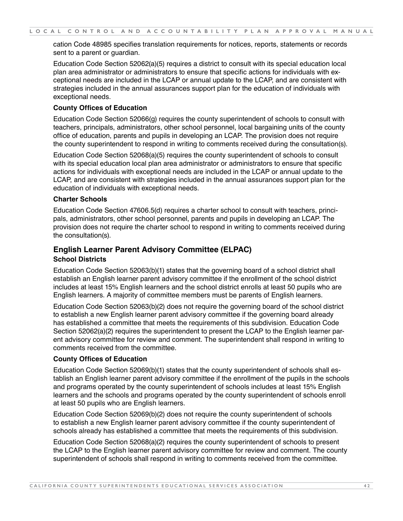cation Code 48985 specifies translation requirements for notices, reports, statements or records sent to a parent or guardian.

Education Code Section 52062(a)(5) requires a district to consult with its special education local plan area administrator or administrators to ensure that specific actions for individuals with exceptional needs are included in the LCAP or annual update to the LCAP, and are consistent with strategies included in the annual assurances support plan for the education of individuals with exceptional needs.

#### **County Offices of Education**

Education Code Section 52066(g) requires the county superintendent of schools to consult with teachers, principals, administrators, other school personnel, local bargaining units of the county office of education, parents and pupils in developing an LCAP. The provision does not require the county superintendent to respond in writing to comments received during the consultation(s).

Education Code Section 52068(a)(5) requires the county superintendent of schools to consult with its special education local plan area administrator or administrators to ensure that specific actions for individuals with exceptional needs are included in the LCAP or annual update to the LCAP, and are consistent with strategies included in the annual assurances support plan for the education of individuals with exceptional needs.

#### **Charter Schools**

Education Code Section 47606.5(d) requires a charter school to consult with teachers, principals, administrators, other school personnel, parents and pupils in developing an LCAP. The provision does not require the charter school to respond in writing to comments received during the consultation(s).

#### **English Learner Parent Advisory Committee (ELPAC) School Districts**

Education Code Section 52063(b)(1) states that the governing board of a school district shall establish an English learner parent advisory committee if the enrollment of the school district includes at least 15% English learners and the school district enrolls at least 50 pupils who are English learners. A majority of committee members must be parents of English learners.

Education Code Section 52063(b)(2) does not require the governing board of the school district to establish a new English learner parent advisory committee if the governing board already has established a committee that meets the requirements of this subdivision. Education Code Section 52062(a)(2) requires the superintendent to present the LCAP to the English learner parent advisory committee for review and comment. The superintendent shall respond in writing to comments received from the committee.

#### **County Offices of Education**

Education Code Section 52069(b)(1) states that the county superintendent of schools shall establish an English learner parent advisory committee if the enrollment of the pupils in the schools and programs operated by the county superintendent of schools includes at least 15% English learners and the schools and programs operated by the county superintendent of schools enroll at least 50 pupils who are English learners.

Education Code Section 52069(b)(2) does not require the county superintendent of schools to establish a new English learner parent advisory committee if the county superintendent of schools already has established a committee that meets the requirements of this subdivision.

Education Code Section 52068(a)(2) requires the county superintendent of schools to present the LCAP to the English learner parent advisory committee for review and comment. The county superintendent of schools shall respond in writing to comments received from the committee.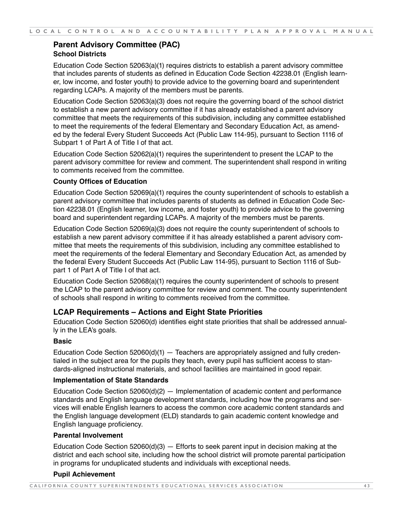# **Parent Advisory Committee (PAC) School Districts**

Education Code Section 52063(a)(1) requires districts to establish a parent advisory committee that includes parents of students as defined in Education Code Section 42238.01 (English learner, low income, and foster youth) to provide advice to the governing board and superintendent regarding LCAPs. A majority of the members must be parents.

Education Code Section 52063(a)(3) does not require the governing board of the school district to establish a new parent advisory committee if it has already established a parent advisory committee that meets the requirements of this subdivision, including any committee established to meet the requirements of the federal Elementary and Secondary Education Act, as amended by the federal Every Student Succeeds Act (Public Law 114-95), pursuant to Section 1116 of Subpart 1 of Part A of Title I of that act.

Education Code Section 52062(a)(1) requires the superintendent to present the LCAP to the parent advisory committee for review and comment. The superintendent shall respond in writing to comments received from the committee.

#### **County Offices of Education**

Education Code Section 52069(a)(1) requires the county superintendent of schools to establish a parent advisory committee that includes parents of students as defined in Education Code Section 42238.01 (English learner, low income, and foster youth) to provide advice to the governing board and superintendent regarding LCAPs. A majority of the members must be parents.

Education Code Section 52069(a)(3) does not require the county superintendent of schools to establish a new parent advisory committee if it has already established a parent advisory committee that meets the requirements of this subdivision, including any committee established to meet the requirements of the federal Elementary and Secondary Education Act, as amended by the federal Every Student Succeeds Act (Public Law 114-95), pursuant to Section 1116 of Subpart 1 of Part A of Title I of that act.

Education Code Section 52068(a)(1) requires the county superintendent of schools to present the LCAP to the parent advisory committee for review and comment. The county superintendent of schools shall respond in writing to comments received from the committee.

## **LCAP Requirements – Actions and Eight State Priorities**

Education Code Section 52060(d) identifies eight state priorities that shall be addressed annually in the LEA's goals.

#### **Basic**

Education Code Section 52060(d)(1) — Teachers are appropriately assigned and fully credentialed in the subject area for the pupils they teach, every pupil has sufficient access to standards-aligned instructional materials, and school facilities are maintained in good repair.

#### **Implementation of State Standards**

Education Code Section  $52060(d)(2)$  — Implementation of academic content and performance standards and English language development standards, including how the programs and services will enable English learners to access the common core academic content standards and the English language development (ELD) standards to gain academic content knowledge and English language proficiency.

#### **Parental Involvement**

Education Code Section  $52060(d)(3)$  — Efforts to seek parent input in decision making at the district and each school site, including how the school district will promote parental participation in programs for unduplicated students and individuals with exceptional needs.

#### **Pupil Achievement**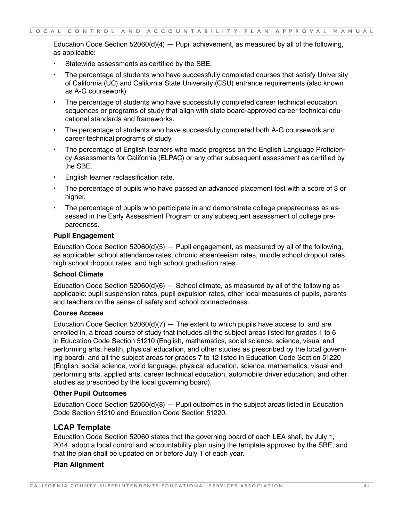Education Code Section  $52060(d)(4)$  — Pupil achievement, as measured by all of the following, as applicable:

- Statewide assessments as certified by the SBE.
- The percentage of students who have successfully completed courses that satisfy University of California (UC) and California State University (CSU) entrance requirements (also known as A-G coursework).
- The percentage of students who have successfully completed career technical education sequences or programs of study that align with state board-approved career technical educational standards and frameworks.
- The percentage of students who have successfully completed both A-G coursework and career technical programs of study.
- The percentage of English learners who made progress on the English Language Proficiency Assessments for California (ELPAC) or any other subsequent assessment as certified by the SBE.
- English learner reclassification rate.
- The percentage of pupils who have passed an advanced placement test with a score of 3 or higher.
- The percentage of pupils who participate in and demonstrate college preparedness as assessed in the Early Assessment Program or any subsequent assessment of college preparedness.

#### **Pupil Engagement**

Education Code Section  $52060(d)(5)$  — Pupil engagement, as measured by all of the following, as applicable: school attendance rates, chronic absenteeism rates, middle school dropout rates, high school dropout rates, and high school graduation rates.

#### **School Climate**

Education Code Section 52060(d)(6)  $-$  School climate, as measured by all of the following as applicable: pupil suspension rates, pupil expulsion rates, other local measures of pupils, parents and teachers on the sense of safety and school connectedness.

#### **Course Access**

Education Code Section 52060(d)(7)  $-$  The extent to which pupils have access to, and are enrolled in, a broad course of study that includes all the subject areas listed for grades 1 to 6 in Education Code Section 51210 (English, mathematics, social science, science, visual and performing arts, health, physical education, and other studies as prescribed by the local governing board), and all the subject areas for grades 7 to 12 listed in Education Code Section 51220 (English, social science, world language, physical education, science, mathematics, visual and performing arts, applied arts, career technical education, automobile driver education, and other studies as prescribed by the local governing board).

#### **Other Pupil Outcomes**

Education Code Section  $52060(d)(8)$  – Pupil outcomes in the subject areas listed in Education Code Section 51210 and Education Code Section 51220.

## **LCAP Template**

Education Code Section 52060 states that the governing board of each LEA shall, by July 1, 2014, adopt a local control and accountability plan using the template approved by the SBE, and that the plan shall be updated on or before July 1 of each year.

#### **Plan Alignment**